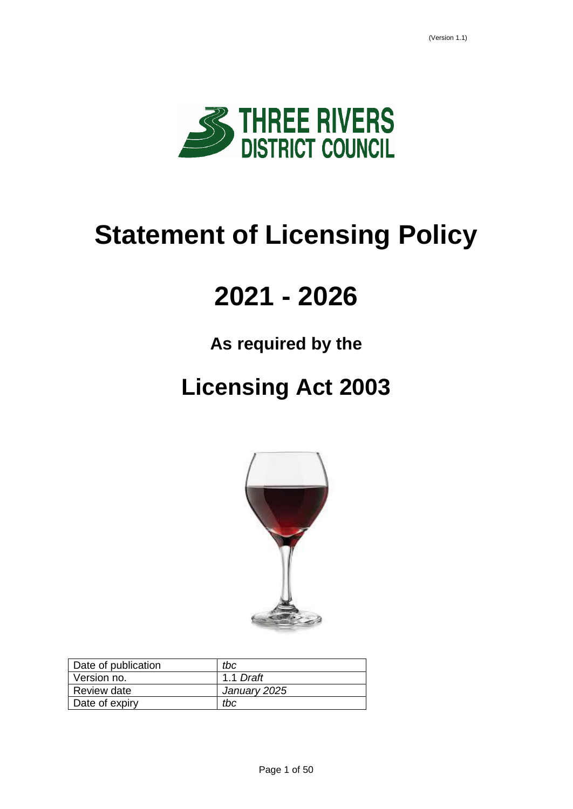

# **Statement of Licensing Policy**

# **2021 - 2026**

# **As required by the**

# **Licensing Act 2003**



| Date of publication | tbc          |
|---------------------|--------------|
| Version no.         | 1.1 Draft    |
| Review date         | January 2025 |
| Date of expiry      | tbc          |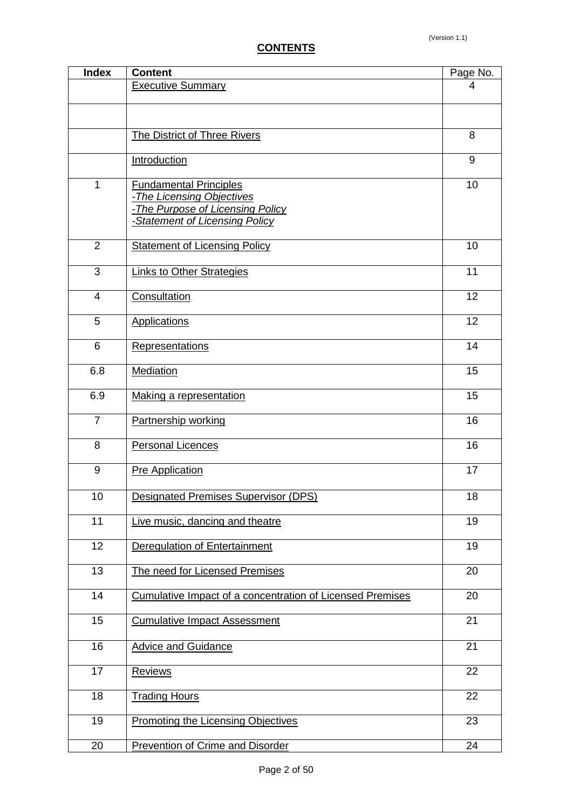| <b>Index</b>   | <b>Content</b>                                                                                                                   | Page No.        |
|----------------|----------------------------------------------------------------------------------------------------------------------------------|-----------------|
|                | <b>Executive Summary</b>                                                                                                         | 4               |
|                |                                                                                                                                  |                 |
|                |                                                                                                                                  |                 |
|                | The District of Three Rivers                                                                                                     | 8               |
|                | <b>Introduction</b>                                                                                                              | 9               |
| $\overline{1}$ | <b>Fundamental Principles</b><br>-The Licensing Objectives<br>-The Purpose of Licensing Policy<br>-Statement of Licensing Policy | 10              |
| $\overline{2}$ | <b>Statement of Licensing Policy</b>                                                                                             | 10              |
| 3              | <b>Links to Other Strategies</b>                                                                                                 | 11              |
| 4              | Consultation                                                                                                                     | 12              |
| 5              | <b>Applications</b>                                                                                                              | 12              |
| 6              | <b>Representations</b>                                                                                                           | 14              |
| 6.8            | <b>Mediation</b>                                                                                                                 | 15              |
| 6.9            | Making a representation                                                                                                          | 15              |
| $\overline{7}$ | Partnership working                                                                                                              | 16              |
| 8              | <b>Personal Licences</b>                                                                                                         | 16              |
| 9              | Pre Application                                                                                                                  | 17              |
| 10             | <b>Designated Premises Supervisor (DPS)</b>                                                                                      | $\overline{18}$ |
| 11             | Live music, dancing and theatre                                                                                                  | 19              |
| 12             | Deregulation of Entertainment                                                                                                    | 19              |
| 13             | The need for Licensed Premises                                                                                                   | 20              |
| 14             | <b>Cumulative Impact of a concentration of Licensed Premises</b>                                                                 | 20              |
| 15             | <b>Cumulative Impact Assessment</b>                                                                                              | 21              |
| 16             | <b>Advice and Guidance</b>                                                                                                       | 21              |
| 17             | <b>Reviews</b>                                                                                                                   | 22              |
| 18             | <b>Trading Hours</b>                                                                                                             | 22              |
| 19             | <b>Promoting the Licensing Objectives</b>                                                                                        | 23              |
| 20             | <b>Prevention of Crime and Disorder</b>                                                                                          | 24              |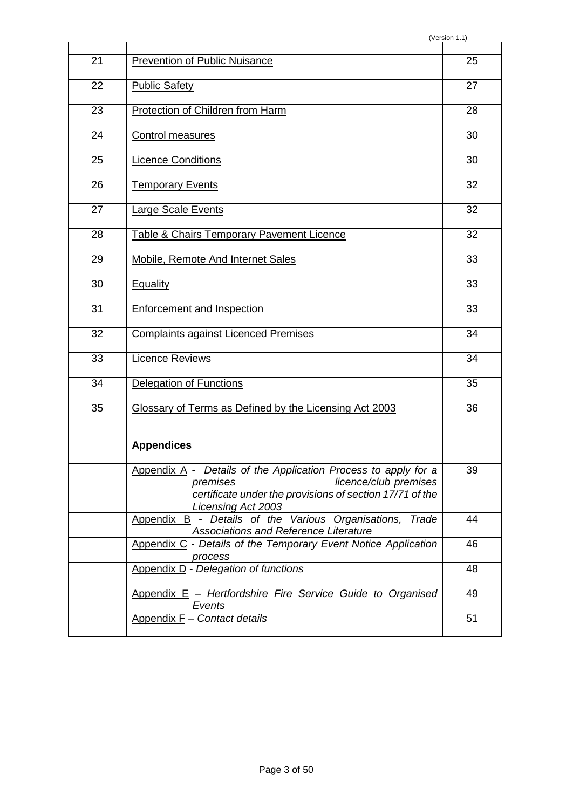| 21 | <b>Prevention of Public Nuisance</b>                                                                                                                                                  | 25 |
|----|---------------------------------------------------------------------------------------------------------------------------------------------------------------------------------------|----|
| 22 | <b>Public Safety</b>                                                                                                                                                                  | 27 |
| 23 | Protection of Children from Harm                                                                                                                                                      | 28 |
|    |                                                                                                                                                                                       |    |
| 24 | <b>Control measures</b>                                                                                                                                                               | 30 |
| 25 | <b>Licence Conditions</b>                                                                                                                                                             | 30 |
| 26 | <b>Temporary Events</b>                                                                                                                                                               | 32 |
| 27 | <b>Large Scale Events</b>                                                                                                                                                             | 32 |
| 28 | <b>Table &amp; Chairs Temporary Pavement Licence</b>                                                                                                                                  | 32 |
| 29 | <b>Mobile, Remote And Internet Sales</b>                                                                                                                                              | 33 |
| 30 | <b>Equality</b>                                                                                                                                                                       | 33 |
| 31 | <b>Enforcement and Inspection</b>                                                                                                                                                     | 33 |
| 32 | <b>Complaints against Licenced Premises</b>                                                                                                                                           | 34 |
| 33 | <b>Licence Reviews</b>                                                                                                                                                                | 34 |
| 34 | Delegation of Functions                                                                                                                                                               | 35 |
| 35 | Glossary of Terms as Defined by the Licensing Act 2003                                                                                                                                | 36 |
|    | <b>Appendices</b>                                                                                                                                                                     |    |
|    | Appendix A - Details of the Application Process to apply for a<br>licence/club premises<br>premises<br>certificate under the provisions of section 17/71 of the<br>Licensing Act 2003 | 39 |
|    | Appendix B - Details of the Various Organisations, Trade<br>Associations and Reference Literature                                                                                     | 44 |
|    | Appendix C - Details of the Temporary Event Notice Application<br>process                                                                                                             | 46 |
|    | Appendix D - Delegation of functions                                                                                                                                                  | 48 |
|    | Appendix $E$ – Hertfordshire Fire Service Guide to Organised<br>Events                                                                                                                | 49 |
|    | Appendix $E -$ Contact details                                                                                                                                                        | 51 |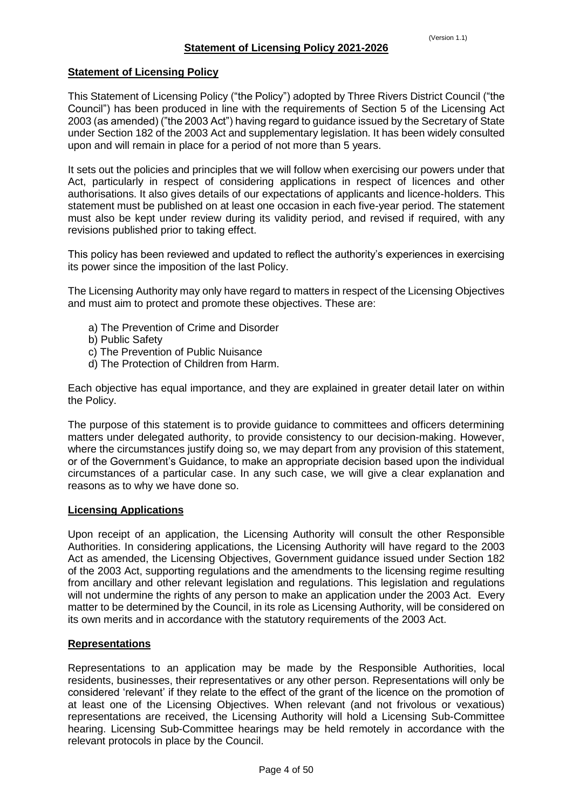# <span id="page-3-0"></span>**Statement of Licensing Policy**

This Statement of Licensing Policy ("the Policy") adopted by Three Rivers District Council ("the Council") has been produced in line with the requirements of Section 5 of the Licensing Act 2003 (as amended) ("the 2003 Act") having regard to guidance issued by the Secretary of State under Section 182 of the 2003 Act and supplementary legislation. It has been widely consulted upon and will remain in place for a period of not more than 5 years.

It sets out the policies and principles that we will follow when exercising our powers under that Act, particularly in respect of considering applications in respect of licences and other authorisations. It also gives details of our expectations of applicants and licence-holders. This statement must be published on at least one occasion in each five-year period. The statement must also be kept under review during its validity period, and revised if required, with any revisions published prior to taking effect.

This policy has been reviewed and updated to reflect the authority's experiences in exercising its power since the imposition of the last Policy.

The Licensing Authority may only have regard to matters in respect of the Licensing Objectives and must aim to protect and promote these objectives. These are:

- a) The Prevention of Crime and Disorder
- b) Public Safety
- c) The Prevention of Public Nuisance
- d) The Protection of Children from Harm.

Each objective has equal importance, and they are explained in greater detail later on within the Policy.

The purpose of this statement is to provide guidance to committees and officers determining matters under delegated authority, to provide consistency to our decision-making. However, where the circumstances justify doing so, we may depart from any provision of this statement, or of the Government's Guidance, to make an appropriate decision based upon the individual circumstances of a particular case. In any such case, we will give a clear explanation and reasons as to why we have done so.

#### **Licensing Applications**

Upon receipt of an application, the Licensing Authority will consult the other Responsible Authorities. In considering applications, the Licensing Authority will have regard to the 2003 Act as amended, the Licensing Objectives, Government guidance issued under Section 182 of the 2003 Act, supporting regulations and the amendments to the licensing regime resulting from ancillary and other relevant legislation and regulations. This legislation and regulations will not undermine the rights of any person to make an application under the 2003 Act. Every matter to be determined by the Council, in its role as Licensing Authority, will be considered on its own merits and in accordance with the statutory requirements of the 2003 Act.

#### **Representations**

Representations to an application may be made by the Responsible Authorities, local residents, businesses, their representatives or any other person. Representations will only be considered 'relevant' if they relate to the effect of the grant of the licence on the promotion of at least one of the Licensing Objectives. When relevant (and not frivolous or vexatious) representations are received, the Licensing Authority will hold a Licensing Sub-Committee hearing. Licensing Sub-Committee hearings may be held remotely in accordance with the relevant protocols in place by the Council.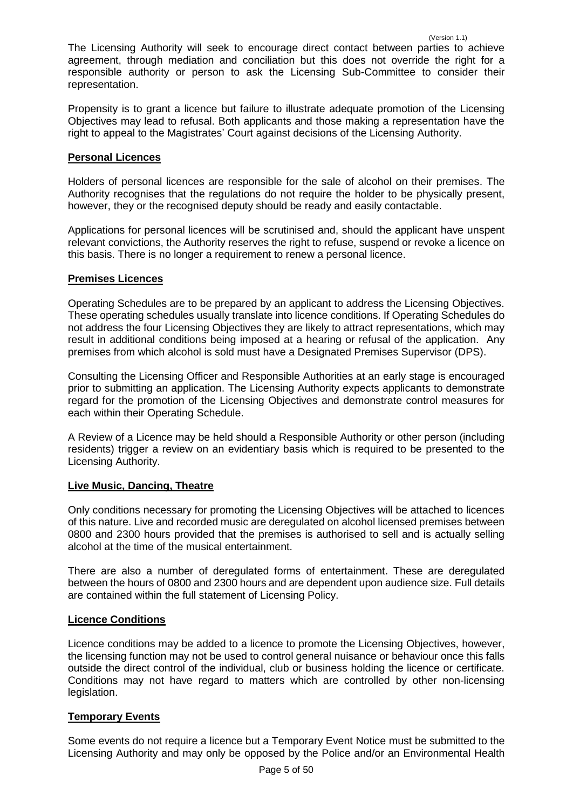The Licensing Authority will seek to encourage direct contact between parties to achieve agreement, through mediation and conciliation but this does not override the right for a responsible authority or person to ask the Licensing Sub-Committee to consider their representation.

Propensity is to grant a licence but failure to illustrate adequate promotion of the Licensing Objectives may lead to refusal. Both applicants and those making a representation have the right to appeal to the Magistrates' Court against decisions of the Licensing Authority.

### **Personal Licences**

Holders of personal licences are responsible for the sale of alcohol on their premises. The Authority recognises that the regulations do not require the holder to be physically present, however, they or the recognised deputy should be ready and easily contactable.

Applications for personal licences will be scrutinised and, should the applicant have unspent relevant convictions, the Authority reserves the right to refuse, suspend or revoke a licence on this basis. There is no longer a requirement to renew a personal licence.

### **Premises Licences**

Operating Schedules are to be prepared by an applicant to address the Licensing Objectives. These operating schedules usually translate into licence conditions. If Operating Schedules do not address the four Licensing Objectives they are likely to attract representations, which may result in additional conditions being imposed at a hearing or refusal of the application. Any premises from which alcohol is sold must have a Designated Premises Supervisor (DPS).

Consulting the Licensing Officer and Responsible Authorities at an early stage is encouraged prior to submitting an application. The Licensing Authority expects applicants to demonstrate regard for the promotion of the Licensing Objectives and demonstrate control measures for each within their Operating Schedule.

A Review of a Licence may be held should a Responsible Authority or other person (including residents) trigger a review on an evidentiary basis which is required to be presented to the Licensing Authority.

# **Live Music, Dancing, Theatre**

Only conditions necessary for promoting the Licensing Objectives will be attached to licences of this nature. Live and recorded music are deregulated on alcohol licensed premises between 0800 and 2300 hours provided that the premises is authorised to sell and is actually selling alcohol at the time of the musical entertainment.

There are also a number of deregulated forms of entertainment. These are deregulated between the hours of 0800 and 2300 hours and are dependent upon audience size. Full details are contained within the full statement of Licensing Policy.

#### **Licence Conditions**

Licence conditions may be added to a licence to promote the Licensing Objectives, however, the licensing function may not be used to control general nuisance or behaviour once this falls outside the direct control of the individual, club or business holding the licence or certificate. Conditions may not have regard to matters which are controlled by other non-licensing legislation.

# **Temporary Events**

Some events do not require a licence but a Temporary Event Notice must be submitted to the Licensing Authority and may only be opposed by the Police and/or an Environmental Health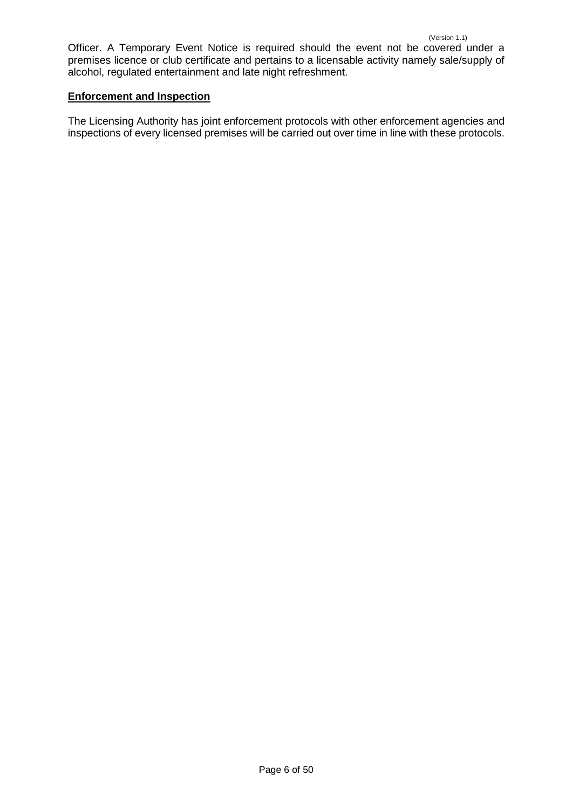Officer. A Temporary Event Notice is required should the event not be covered under a premises licence or club certificate and pertains to a licensable activity namely sale/supply of alcohol, regulated entertainment and late night refreshment.

#### **Enforcement and Inspection**

The Licensing Authority has joint enforcement protocols with other enforcement agencies and inspections of every licensed premises will be carried out over time in line with these protocols.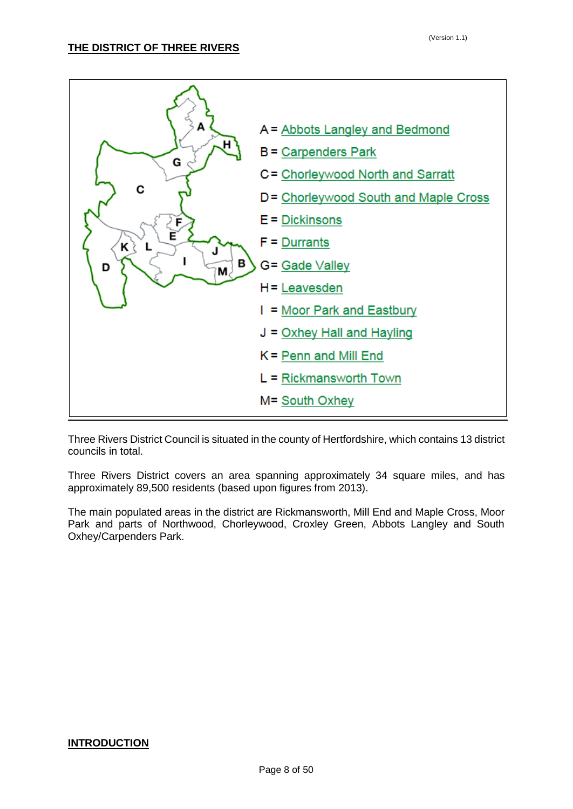<span id="page-7-0"></span>

Three Rivers District Council is situated in the county of Hertfordshire, which contains 13 district councils in total.

Three Rivers District covers an area spanning approximately 34 square miles, and has approximately 89,500 residents (based upon figures from 2013).

The main populated areas in the district are Rickmansworth, Mill End and Maple Cross, Moor Park and parts of Northwood, Chorleywood, Croxley Green, Abbots Langley and South Oxhey/Carpenders Park.

#### <span id="page-7-1"></span>**INTRODUCTION**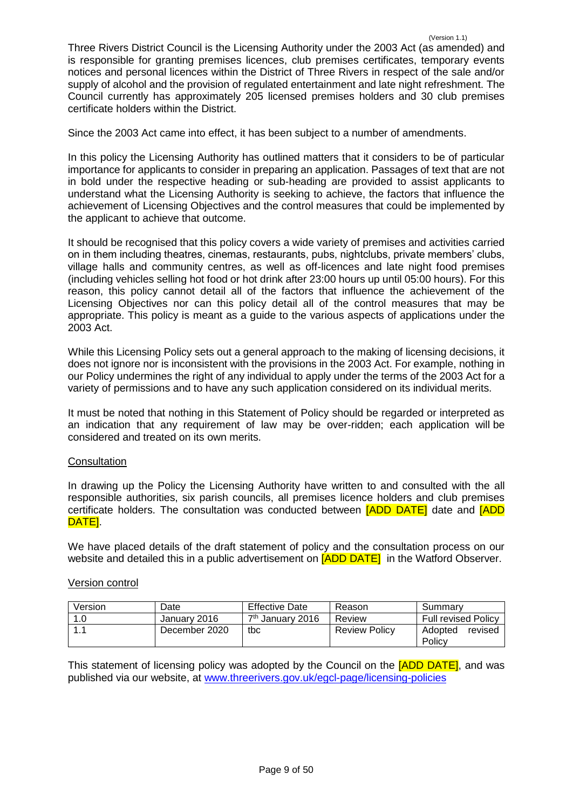Three Rivers District Council is the Licensing Authority under the 2003 Act (as amended) and is responsible for granting premises licences, club premises certificates, temporary events notices and personal licences within the District of Three Rivers in respect of the sale and/or supply of alcohol and the provision of regulated entertainment and late night refreshment. The Council currently has approximately 205 licensed premises holders and 30 club premises certificate holders within the District.

Since the 2003 Act came into effect, it has been subject to a number of amendments.

In this policy the Licensing Authority has outlined matters that it considers to be of particular importance for applicants to consider in preparing an application. Passages of text that are not in bold under the respective heading or sub-heading are provided to assist applicants to understand what the Licensing Authority is seeking to achieve, the factors that influence the achievement of Licensing Objectives and the control measures that could be implemented by the applicant to achieve that outcome.

It should be recognised that this policy covers a wide variety of premises and activities carried on in them including theatres, cinemas, restaurants, pubs, nightclubs, private members' clubs, village halls and community centres, as well as off-licences and late night food premises (including vehicles selling hot food or hot drink after 23:00 hours up until 05:00 hours). For this reason, this policy cannot detail all of the factors that influence the achievement of the Licensing Objectives nor can this policy detail all of the control measures that may be appropriate. This policy is meant as a guide to the various aspects of applications under the 2003 Act.

While this Licensing Policy sets out a general approach to the making of licensing decisions, it does not ignore nor is inconsistent with the provisions in the 2003 Act. For example, nothing in our Policy undermines the right of any individual to apply under the terms of the 2003 Act for a variety of permissions and to have any such application considered on its individual merits.

It must be noted that nothing in this Statement of Policy should be regarded or interpreted as an indication that any requirement of law may be over-ridden; each application will be considered and treated on its own merits.

#### **Consultation**

In drawing up the Policy the Licensing Authority have written to and consulted with the all responsible authorities, six parish councils, all premises licence holders and club premises certificate holders. The consultation was conducted between **[ADD DATE]** date and **[ADD** DATE].

We have placed details of the draft statement of policy and the consultation process on our website and detailed this in a public advertisement on **[ADD DATE]** in the Watford Observer.

#### Version control

| Version | Date          | <b>Effective Date</b>        | Reason               | Summary                      |
|---------|---------------|------------------------------|----------------------|------------------------------|
|         | January 2016  | 7 <sup>th</sup> January 2016 | Review               | <b>Full revised Policy</b>   |
|         | December 2020 | tbc                          | <b>Review Policy</b> | Adopted<br>revised<br>Policy |

This statement of licensing policy was adopted by the Council on the [ADD DATE], and was published via our website, at [www.threerivers.gov.uk/egcl-page/licensing-policies](http://www.threerivers.gov.uk/egcl-page/licensing-policies)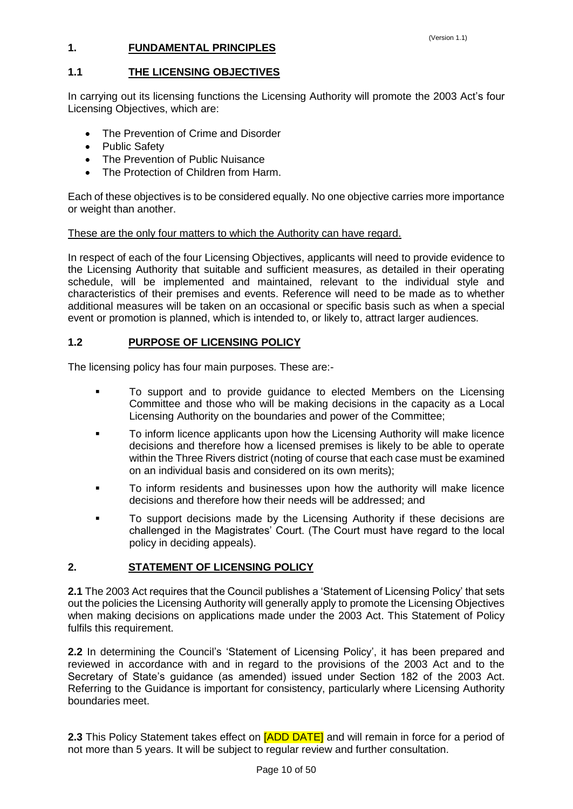# <span id="page-9-0"></span>**1. FUNDAMENTAL PRINCIPLES**

# **1.1 THE LICENSING OBJECTIVES**

In carrying out its licensing functions the Licensing Authority will promote the 2003 Act's four Licensing Objectives, which are:

- The Prevention of Crime and Disorder
- Public Safety
- The Prevention of Public Nuisance
- The Protection of Children from Harm.

Each of these objectives is to be considered equally. No one objective carries more importance or weight than another.

#### These are the only four matters to which the Authority can have regard.

In respect of each of the four Licensing Objectives, applicants will need to provide evidence to the Licensing Authority that suitable and sufficient measures, as detailed in their operating schedule, will be implemented and maintained, relevant to the individual style and characteristics of their premises and events. Reference will need to be made as to whether additional measures will be taken on an occasional or specific basis such as when a special event or promotion is planned, which is intended to, or likely to, attract larger audiences.

### **1.2 PURPOSE OF LICENSING POLICY**

The licensing policy has four main purposes. These are:-

- **To support and to provide guidance to elected Members on the Licensing** Committee and those who will be making decisions in the capacity as a Local Licensing Authority on the boundaries and power of the Committee;
- To inform licence applicants upon how the Licensing Authority will make licence decisions and therefore how a licensed premises is likely to be able to operate within the Three Rivers district (noting of course that each case must be examined on an individual basis and considered on its own merits);
- To inform residents and businesses upon how the authority will make licence decisions and therefore how their needs will be addressed; and
- <span id="page-9-1"></span>**To support decisions made by the Licensing Authority if these decisions are** challenged in the Magistrates' Court. (The Court must have regard to the local policy in deciding appeals).

#### **2. STATEMENT OF LICENSING POLICY**

**2.1** The 2003 Act requires that the Council publishes a 'Statement of Licensing Policy' that sets out the policies the Licensing Authority will generally apply to promote the Licensing Objectives when making decisions on applications made under the 2003 Act. This Statement of Policy fulfils this requirement.

**2.2** In determining the Council's 'Statement of Licensing Policy', it has been prepared and reviewed in accordance with and in regard to the provisions of the 2003 Act and to the Secretary of State's guidance (as amended) issued under Section 182 of the 2003 Act. Referring to the Guidance is important for consistency, particularly where Licensing Authority boundaries meet.

**2.3** This Policy Statement takes effect on [ADD DATE] and will remain in force for a period of not more than 5 years. It will be subject to regular review and further consultation.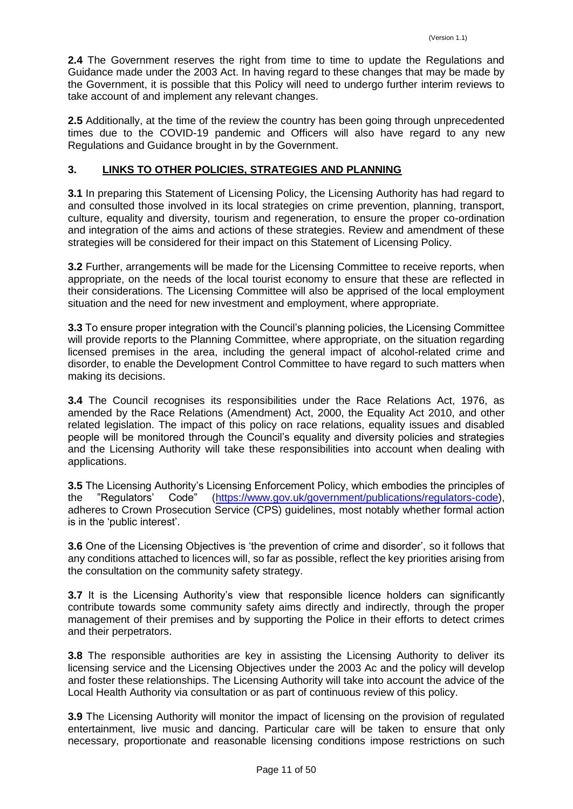**2.4** The Government reserves the right from time to time to update the Regulations and Guidance made under the 2003 Act. In having regard to these changes that may be made by the Government, it is possible that this Policy will need to undergo further interim reviews to take account of and implement any relevant changes.

**2.5** Additionally, at the time of the review the country has been going through unprecedented times due to the COVID-19 pandemic and Officers will also have regard to any new Regulations and Guidance brought in by the Government.

# <span id="page-10-0"></span>**3. LINKS TO OTHER POLICIES, STRATEGIES AND PLANNING**

**3.1** In preparing this Statement of Licensing Policy, the Licensing Authority has had regard to and consulted those involved in its local strategies on crime prevention, planning, transport, culture, equality and diversity, tourism and regeneration, to ensure the proper co-ordination and integration of the aims and actions of these strategies. Review and amendment of these strategies will be considered for their impact on this Statement of Licensing Policy.

**3.2** Further, arrangements will be made for the Licensing Committee to receive reports, when appropriate, on the needs of the local tourist economy to ensure that these are reflected in their considerations. The Licensing Committee will also be apprised of the local employment situation and the need for new investment and employment, where appropriate.

**3.3** To ensure proper integration with the Council's planning policies, the Licensing Committee will provide reports to the Planning Committee, where appropriate, on the situation regarding licensed premises in the area, including the general impact of alcohol-related crime and disorder, to enable the Development Control Committee to have regard to such matters when making its decisions.

**3.4** The Council recognises its responsibilities under the Race Relations Act, 1976, as amended by the Race Relations (Amendment) Act, 2000, the Equality Act 2010, and other related legislation. The impact of this policy on race relations, equality issues and disabled people will be monitored through the Council's equality and diversity policies and strategies and the Licensing Authority will take these responsibilities into account when dealing with applications.

**3.5** The Licensing Authority's Licensing Enforcement Policy, which embodies the principles of the "Regulators' Code" [\(https://www.gov.uk/government/publications/regulators-code\)](https://www.gov.uk/government/publications/regulators-code), adheres to Crown Prosecution Service (CPS) guidelines, most notably whether formal action is in the 'public interest'.

**3.6** One of the Licensing Objectives is 'the prevention of crime and disorder', so it follows that any conditions attached to licences will, so far as possible, reflect the key priorities arising from the consultation on the community safety strategy.

**3.7** It is the Licensing Authority's view that responsible licence holders can significantly contribute towards some community safety aims directly and indirectly, through the proper management of their premises and by supporting the Police in their efforts to detect crimes and their perpetrators.

**3.8** The responsible authorities are key in assisting the Licensing Authority to deliver its licensing service and the Licensing Objectives under the 2003 Ac and the policy will develop and foster these relationships. The Licensing Authority will take into account the advice of the Local Health Authority via consultation or as part of continuous review of this policy.

**3.9** The Licensing Authority will monitor the impact of licensing on the provision of regulated entertainment, live music and dancing. Particular care will be taken to ensure that only necessary, proportionate and reasonable licensing conditions impose restrictions on such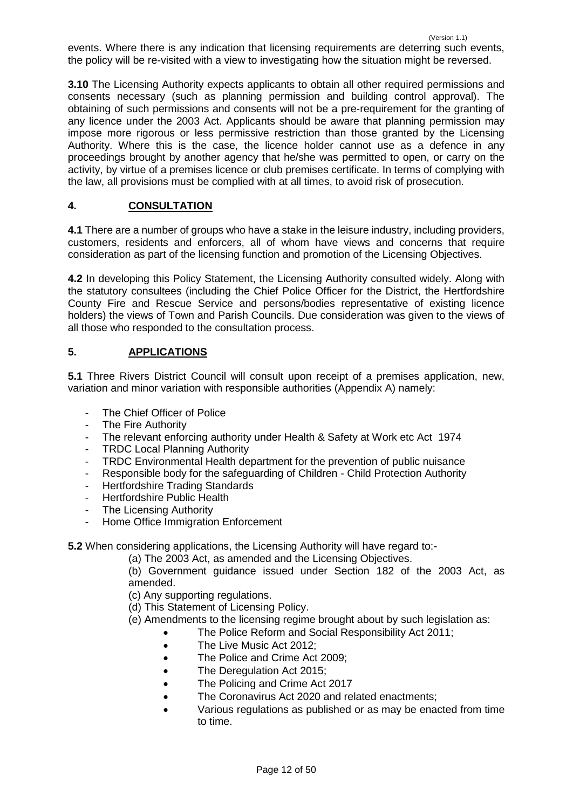(Version 1.1) events. Where there is any indication that licensing requirements are deterring such events, the policy will be re-visited with a view to investigating how the situation might be reversed.

**3.10** The Licensing Authority expects applicants to obtain all other required permissions and consents necessary (such as planning permission and building control approval). The obtaining of such permissions and consents will not be a pre-requirement for the granting of any licence under the 2003 Act. Applicants should be aware that planning permission may impose more rigorous or less permissive restriction than those granted by the Licensing Authority. Where this is the case, the licence holder cannot use as a defence in any proceedings brought by another agency that he/she was permitted to open, or carry on the activity, by virtue of a premises licence or club premises certificate. In terms of complying with the law, all provisions must be complied with at all times, to avoid risk of prosecution.

# <span id="page-11-0"></span>**4. CONSULTATION**

**4.1** There are a number of groups who have a stake in the leisure industry, including providers, customers, residents and enforcers, all of whom have views and concerns that require consideration as part of the licensing function and promotion of the Licensing Objectives.

**4.2** In developing this Policy Statement, the Licensing Authority consulted widely. Along with the statutory consultees (including the Chief Police Officer for the District, the Hertfordshire County Fire and Rescue Service and persons/bodies representative of existing licence holders) the views of Town and Parish Councils. Due consideration was given to the views of all those who responded to the consultation process.

# <span id="page-11-1"></span>**5. APPLICATIONS**

**5.1** Three Rivers District Council will consult upon receipt of a premises application, new, variation and minor variation with responsible authorities (Appendix A) namely:

- The Chief Officer of Police
- The Fire Authority
- The relevant enforcing authority under Health & Safety at Work etc Act 1974
- TRDC Local Planning Authority
- TRDC Environmental Health department for the prevention of public nuisance
- Responsible body for the safeguarding of Children Child Protection Authority
- Hertfordshire Trading Standards
- **Hertfordshire Public Health**
- The Licensing Authority
- Home Office Immigration Enforcement

**5.2** When considering applications, the Licensing Authority will have regard to:-

(a) The 2003 Act, as amended and the Licensing Objectives.

(b) Government guidance issued under Section 182 of the 2003 Act, as amended.

(c) Any supporting regulations.

- (d) This Statement of Licensing Policy.
- (e) Amendments to the licensing regime brought about by such legislation as:
	- The Police Reform and Social Responsibility Act 2011;
	- The Live Music Act 2012:
	- The Police and Crime Act 2009;
	- The Deregulation Act 2015;
	- The Policing and Crime Act 2017
	- The Coronavirus Act 2020 and related enactments;
	- Various regulations as published or as may be enacted from time to time.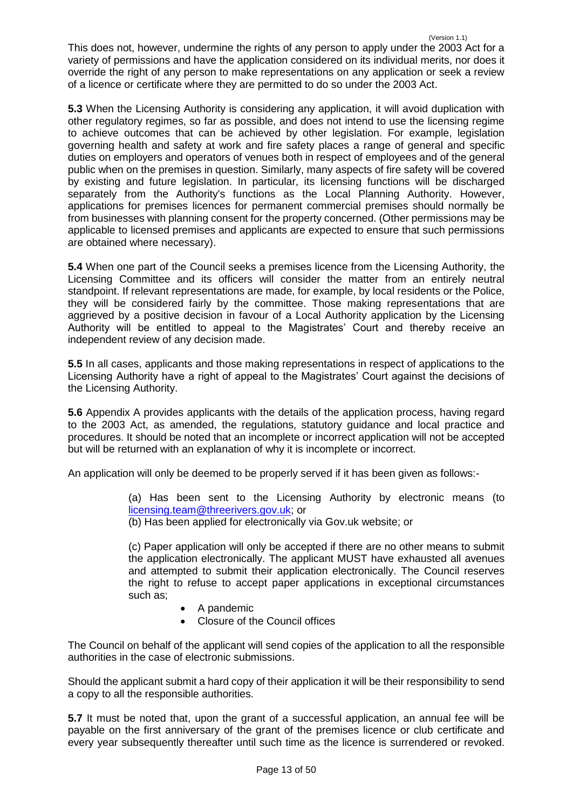(Version 1.1) This does not, however, undermine the rights of any person to apply under the 2003 Act for a variety of permissions and have the application considered on its individual merits, nor does it override the right of any person to make representations on any application or seek a review of a licence or certificate where they are permitted to do so under the 2003 Act.

**5.3** When the Licensing Authority is considering any application, it will avoid duplication with other regulatory regimes, so far as possible, and does not intend to use the licensing regime to achieve outcomes that can be achieved by other legislation. For example, legislation governing health and safety at work and fire safety places a range of general and specific duties on employers and operators of venues both in respect of employees and of the general public when on the premises in question. Similarly, many aspects of fire safety will be covered by existing and future legislation. In particular, its licensing functions will be discharged separately from the Authority's functions as the Local Planning Authority. However, applications for premises licences for permanent commercial premises should normally be from businesses with planning consent for the property concerned. (Other permissions may be applicable to licensed premises and applicants are expected to ensure that such permissions are obtained where necessary).

**5.4** When one part of the Council seeks a premises licence from the Licensing Authority, the Licensing Committee and its officers will consider the matter from an entirely neutral standpoint. If relevant representations are made, for example, by local residents or the Police, they will be considered fairly by the committee. Those making representations that are aggrieved by a positive decision in favour of a Local Authority application by the Licensing Authority will be entitled to appeal to the Magistrates' Court and thereby receive an independent review of any decision made.

**5.5** In all cases, applicants and those making representations in respect of applications to the Licensing Authority have a right of appeal to the Magistrates' Court against the decisions of the Licensing Authority.

**5.6** Appendix A provides applicants with the details of the application process, having regard to the 2003 Act, as amended, the regulations, statutory guidance and local practice and procedures. It should be noted that an incomplete or incorrect application will not be accepted but will be returned with an explanation of why it is incomplete or incorrect.

An application will only be deemed to be properly served if it has been given as follows:-

(a) Has been sent to the Licensing Authority by electronic means (to [licensing.team@threerivers.gov.uk;](mailto:licensing.team@threerivers.gov.uk) or

(b) Has been applied for electronically via Gov.uk website; or

(c) Paper application will only be accepted if there are no other means to submit the application electronically. The applicant MUST have exhausted all avenues and attempted to submit their application electronically. The Council reserves the right to refuse to accept paper applications in exceptional circumstances such as;

- A pandemic
- Closure of the Council offices

The Council on behalf of the applicant will send copies of the application to all the responsible authorities in the case of electronic submissions.

Should the applicant submit a hard copy of their application it will be their responsibility to send a copy to all the responsible authorities.

**5.7** It must be noted that, upon the grant of a successful application, an annual fee will be payable on the first anniversary of the grant of the premises licence or club certificate and every year subsequently thereafter until such time as the licence is surrendered or revoked.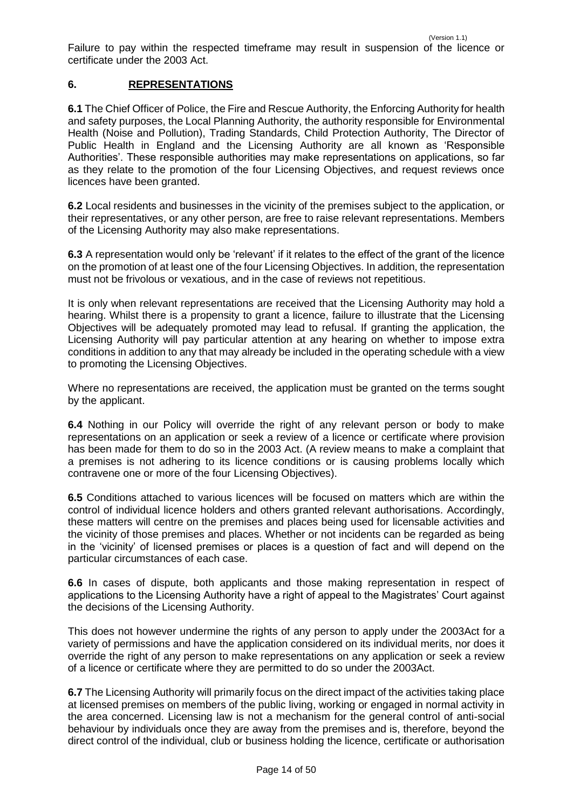Failure to pay within the respected timeframe may result in suspension of the licence or certificate under the 2003 Act.

# <span id="page-13-0"></span>**6. REPRESENTATIONS**

**6.1** The Chief Officer of Police, the Fire and Rescue Authority, the Enforcing Authority for health and safety purposes, the Local Planning Authority, the authority responsible for Environmental Health (Noise and Pollution), Trading Standards, Child Protection Authority, The Director of Public Health in England and the Licensing Authority are all known as 'Responsible Authorities'. These responsible authorities may make representations on applications, so far as they relate to the promotion of the four Licensing Objectives, and request reviews once licences have been granted.

**6.2** Local residents and businesses in the vicinity of the premises subject to the application, or their representatives, or any other person, are free to raise relevant representations. Members of the Licensing Authority may also make representations.

**6.3** A representation would only be 'relevant' if it relates to the effect of the grant of the licence on the promotion of at least one of the four Licensing Objectives. In addition, the representation must not be frivolous or vexatious, and in the case of reviews not repetitious.

It is only when relevant representations are received that the Licensing Authority may hold a hearing. Whilst there is a propensity to grant a licence, failure to illustrate that the Licensing Objectives will be adequately promoted may lead to refusal. If granting the application, the Licensing Authority will pay particular attention at any hearing on whether to impose extra conditions in addition to any that may already be included in the operating schedule with a view to promoting the Licensing Objectives.

Where no representations are received, the application must be granted on the terms sought by the applicant.

**6.4** Nothing in our Policy will override the right of any relevant person or body to make representations on an application or seek a review of a licence or certificate where provision has been made for them to do so in the 2003 Act. (A review means to make a complaint that a premises is not adhering to its licence conditions or is causing problems locally which contravene one or more of the four Licensing Objectives).

**6.5** Conditions attached to various licences will be focused on matters which are within the control of individual licence holders and others granted relevant authorisations. Accordingly, these matters will centre on the premises and places being used for licensable activities and the vicinity of those premises and places. Whether or not incidents can be regarded as being in the 'vicinity' of licensed premises or places is a question of fact and will depend on the particular circumstances of each case.

**6.6** In cases of dispute, both applicants and those making representation in respect of applications to the Licensing Authority have a right of appeal to the Magistrates' Court against the decisions of the Licensing Authority.

This does not however undermine the rights of any person to apply under the 2003Act for a variety of permissions and have the application considered on its individual merits, nor does it override the right of any person to make representations on any application or seek a review of a licence or certificate where they are permitted to do so under the 2003Act.

**6.7** The Licensing Authority will primarily focus on the direct impact of the activities taking place at licensed premises on members of the public living, working or engaged in normal activity in the area concerned. Licensing law is not a mechanism for the general control of anti-social behaviour by individuals once they are away from the premises and is, therefore, beyond the direct control of the individual, club or business holding the licence, certificate or authorisation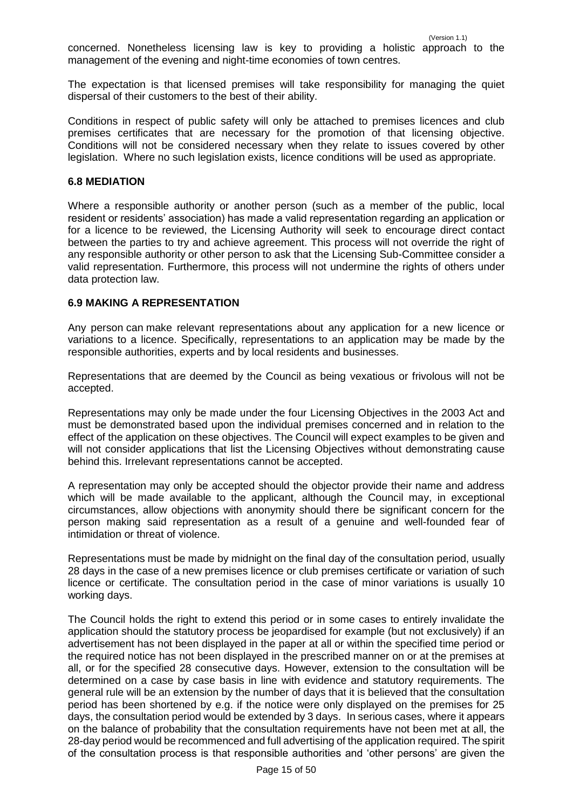concerned. Nonetheless licensing law is key to providing a holistic approach to the management of the evening and night-time economies of town centres.

The expectation is that licensed premises will take responsibility for managing the quiet dispersal of their customers to the best of their ability.

Conditions in respect of public safety will only be attached to premises licences and club premises certificates that are necessary for the promotion of that licensing objective. Conditions will not be considered necessary when they relate to issues covered by other legislation. Where no such legislation exists, licence conditions will be used as appropriate.

#### <span id="page-14-0"></span>**6.8 MEDIATION**

Where a responsible authority or another person (such as a member of the public, local resident or residents' association) has made a valid representation regarding an application or for a licence to be reviewed, the Licensing Authority will seek to encourage direct contact between the parties to try and achieve agreement. This process will not override the right of any responsible authority or other person to ask that the Licensing Sub-Committee consider a valid representation. Furthermore, this process will not undermine the rights of others under data protection law.

#### <span id="page-14-1"></span>**6.9 MAKING A REPRESENTATION**

Any person can make relevant representations about any application for a new licence or variations to a licence. Specifically, representations to an application may be made by the responsible authorities, experts and by local residents and businesses.

Representations that are deemed by the Council as being vexatious or frivolous will not be accepted.

Representations may only be made under the four Licensing Objectives in the 2003 Act and must be demonstrated based upon the individual premises concerned and in relation to the effect of the application on these objectives. The Council will expect examples to be given and will not consider applications that list the Licensing Objectives without demonstrating cause behind this. Irrelevant representations cannot be accepted.

A representation may only be accepted should the objector provide their name and address which will be made available to the applicant, although the Council may, in exceptional circumstances, allow objections with anonymity should there be significant concern for the person making said representation as a result of a genuine and well-founded fear of intimidation or threat of violence.

Representations must be made by midnight on the final day of the consultation period, usually 28 days in the case of a new premises licence or club premises certificate or variation of such licence or certificate. The consultation period in the case of minor variations is usually 10 working days.

The Council holds the right to extend this period or in some cases to entirely invalidate the application should the statutory process be jeopardised for example (but not exclusively) if an advertisement has not been displayed in the paper at all or within the specified time period or the required notice has not been displayed in the prescribed manner on or at the premises at all, or for the specified 28 consecutive days. However, extension to the consultation will be determined on a case by case basis in line with evidence and statutory requirements. The general rule will be an extension by the number of days that it is believed that the consultation period has been shortened by e.g. if the notice were only displayed on the premises for 25 days, the consultation period would be extended by 3 days. In serious cases, where it appears on the balance of probability that the consultation requirements have not been met at all, the 28-day period would be recommenced and full advertising of the application required. The spirit of the consultation process is that responsible authorities and 'other persons' are given the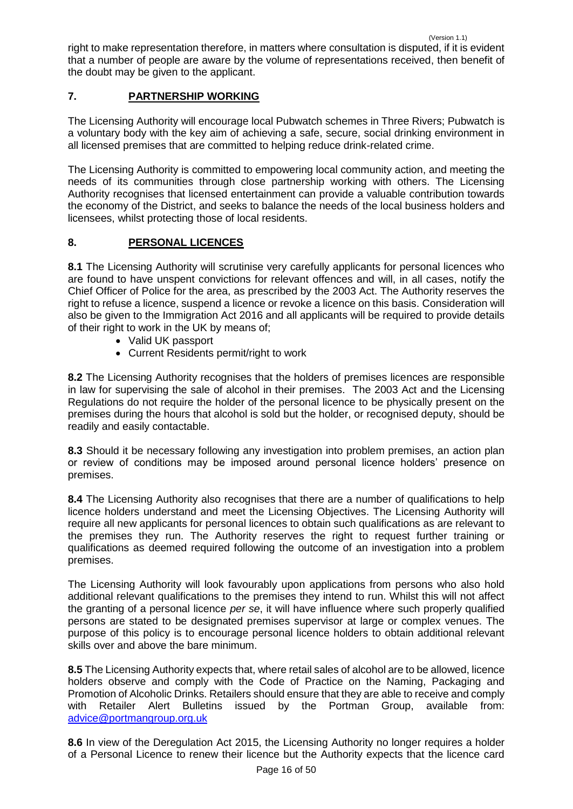right to make representation therefore, in matters where consultation is disputed, if it is evident that a number of people are aware by the volume of representations received, then benefit of the doubt may be given to the applicant.

# <span id="page-15-0"></span>**7. PARTNERSHIP WORKING**

The Licensing Authority will encourage local Pubwatch schemes in Three Rivers; Pubwatch is a voluntary body with the key aim of achieving a safe, secure, social drinking environment in all licensed premises that are committed to helping reduce drink-related crime.

The Licensing Authority is committed to empowering local community action, and meeting the needs of its communities through close partnership working with others. The Licensing Authority recognises that licensed entertainment can provide a valuable contribution towards the economy of the District, and seeks to balance the needs of the local business holders and licensees, whilst protecting those of local residents.

# <span id="page-15-1"></span>**8. PERSONAL LICENCES**

**8.1** The Licensing Authority will scrutinise very carefully applicants for personal licences who are found to have unspent convictions for relevant offences and will, in all cases, notify the Chief Officer of Police for the area, as prescribed by the 2003 Act. The Authority reserves the right to refuse a licence, suspend a licence or revoke a licence on this basis. Consideration will also be given to the Immigration Act 2016 and all applicants will be required to provide details of their right to work in the UK by means of;

- Valid UK passport
- Current Residents permit/right to work

**8.2** The Licensing Authority recognises that the holders of premises licences are responsible in law for supervising the sale of alcohol in their premises. The 2003 Act and the Licensing Regulations do not require the holder of the personal licence to be physically present on the premises during the hours that alcohol is sold but the holder, or recognised deputy, should be readily and easily contactable.

**8.3** Should it be necessary following any investigation into problem premises, an action plan or review of conditions may be imposed around personal licence holders' presence on premises.

**8.4** The Licensing Authority also recognises that there are a number of qualifications to help licence holders understand and meet the Licensing Objectives. The Licensing Authority will require all new applicants for personal licences to obtain such qualifications as are relevant to the premises they run. The Authority reserves the right to request further training or qualifications as deemed required following the outcome of an investigation into a problem premises.

The Licensing Authority will look favourably upon applications from persons who also hold additional relevant qualifications to the premises they intend to run. Whilst this will not affect the granting of a personal licence *per se*, it will have influence where such properly qualified persons are stated to be designated premises supervisor at large or complex venues. The purpose of this policy is to encourage personal licence holders to obtain additional relevant skills over and above the bare minimum.

**8.5** The Licensing Authority expects that, where retail sales of alcohol are to be allowed, licence holders observe and comply with the Code of Practice on the Naming, Packaging and Promotion of Alcoholic Drinks. Retailers should ensure that they are able to receive and comply with Retailer Alert Bulletins issued by the Portman Group, available from: [advice@portmangroup.org.uk](mailto:advice@portmangroup.org.uk)

**8.6** In view of the Deregulation Act 2015, the Licensing Authority no longer requires a holder of a Personal Licence to renew their licence but the Authority expects that the licence card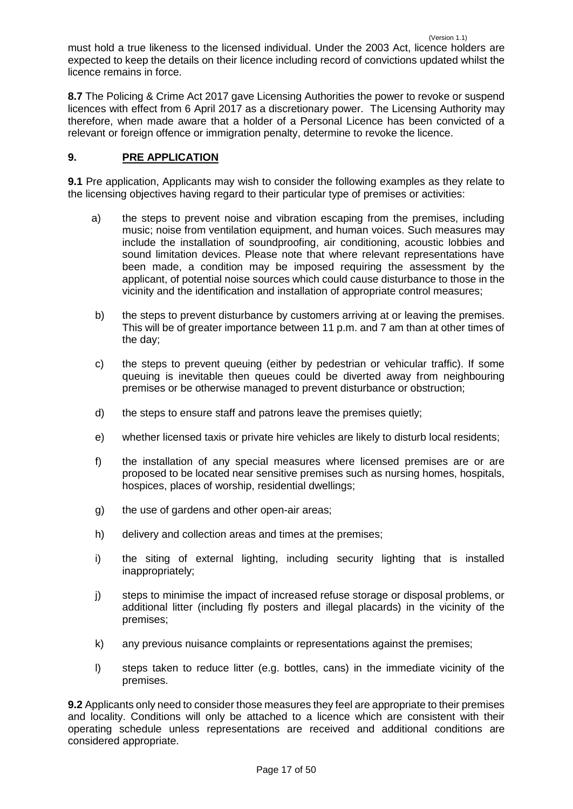must hold a true likeness to the licensed individual. Under the 2003 Act, licence holders are expected to keep the details on their licence including record of convictions updated whilst the licence remains in force.

**8.7** The Policing & Crime Act 2017 gave Licensing Authorities the power to revoke or suspend licences with effect from 6 April 2017 as a discretionary power. The Licensing Authority may therefore, when made aware that a holder of a Personal Licence has been convicted of a relevant or foreign offence or immigration penalty, determine to revoke the licence.

# <span id="page-16-0"></span>**9. PRE APPLICATION**

**9.1** Pre application, Applicants may wish to consider the following examples as they relate to the licensing objectives having regard to their particular type of premises or activities:

- a) the steps to prevent noise and vibration escaping from the premises, including music; noise from ventilation equipment, and human voices. Such measures may include the installation of soundproofing, air conditioning, acoustic lobbies and sound limitation devices. Please note that where relevant representations have been made, a condition may be imposed requiring the assessment by the applicant, of potential noise sources which could cause disturbance to those in the vicinity and the identification and installation of appropriate control measures;
- b) the steps to prevent disturbance by customers arriving at or leaving the premises. This will be of greater importance between 11 p.m. and 7 am than at other times of the day;
- c) the steps to prevent queuing (either by pedestrian or vehicular traffic). If some queuing is inevitable then queues could be diverted away from neighbouring premises or be otherwise managed to prevent disturbance or obstruction;
- d) the steps to ensure staff and patrons leave the premises quietly;
- e) whether licensed taxis or private hire vehicles are likely to disturb local residents;
- f) the installation of any special measures where licensed premises are or are proposed to be located near sensitive premises such as nursing homes, hospitals, hospices, places of worship, residential dwellings;
- g) the use of gardens and other open-air areas;
- h) delivery and collection areas and times at the premises;
- i) the siting of external lighting, including security lighting that is installed inappropriately;
- j) steps to minimise the impact of increased refuse storage or disposal problems, or additional litter (including fly posters and illegal placards) in the vicinity of the premises;
- k) any previous nuisance complaints or representations against the premises;
- l) steps taken to reduce litter (e.g. bottles, cans) in the immediate vicinity of the premises.

**9.2** Applicants only need to consider those measures they feel are appropriate to their premises and locality. Conditions will only be attached to a licence which are consistent with their operating schedule unless representations are received and additional conditions are considered appropriate.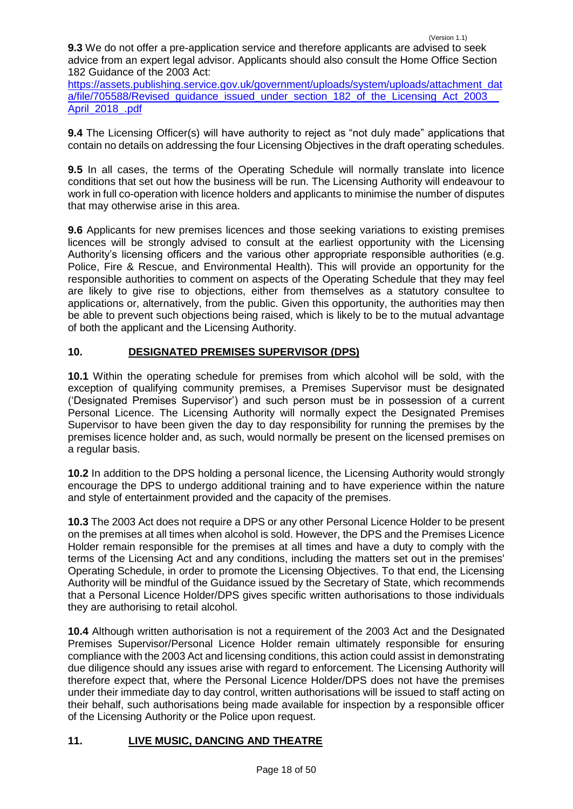**9.3** We do not offer a pre-application service and therefore applicants are advised to seek advice from an expert legal advisor. Applicants should also consult the Home Office Section 182 Guidance of the 2003 Act:

[https://assets.publishing.service.gov.uk/government/uploads/system/uploads/attachment\\_dat](https://assets.publishing.service.gov.uk/government/uploads/system/uploads/attachment_data/file/705588/Revised_guidance_issued_under_section_182_of_the_Licensing_Act_2003__April_2018_.pdf) a/file/705588/Revised\_quidance\_issued\_under\_section\_182\_of\_the\_Licensing\_Act\_2003 [April\\_2018\\_.pdf](https://assets.publishing.service.gov.uk/government/uploads/system/uploads/attachment_data/file/705588/Revised_guidance_issued_under_section_182_of_the_Licensing_Act_2003__April_2018_.pdf)

**9.4** The Licensing Officer(s) will have authority to reject as "not duly made" applications that contain no details on addressing the four Licensing Objectives in the draft operating schedules.

**9.5** In all cases, the terms of the Operating Schedule will normally translate into licence conditions that set out how the business will be run. The Licensing Authority will endeavour to work in full co-operation with licence holders and applicants to minimise the number of disputes that may otherwise arise in this area.

**9.6** Applicants for new premises licences and those seeking variations to existing premises licences will be strongly advised to consult at the earliest opportunity with the Licensing Authority's licensing officers and the various other appropriate responsible authorities (e.g. Police, Fire & Rescue, and Environmental Health). This will provide an opportunity for the responsible authorities to comment on aspects of the Operating Schedule that they may feel are likely to give rise to objections, either from themselves as a statutory consultee to applications or, alternatively, from the public. Given this opportunity, the authorities may then be able to prevent such objections being raised, which is likely to be to the mutual advantage of both the applicant and the Licensing Authority.

# <span id="page-17-0"></span>**10. DESIGNATED PREMISES SUPERVISOR (DPS)**

**10.1** Within the operating schedule for premises from which alcohol will be sold, with the exception of qualifying community premises, a Premises Supervisor must be designated ('Designated Premises Supervisor') and such person must be in possession of a current Personal Licence. The Licensing Authority will normally expect the Designated Premises Supervisor to have been given the day to day responsibility for running the premises by the premises licence holder and, as such, would normally be present on the licensed premises on a regular basis.

**10.2** In addition to the DPS holding a personal licence, the Licensing Authority would strongly encourage the DPS to undergo additional training and to have experience within the nature and style of entertainment provided and the capacity of the premises.

**10.3** The 2003 Act does not require a DPS or any other Personal Licence Holder to be present on the premises at all times when alcohol is sold. However, the DPS and the Premises Licence Holder remain responsible for the premises at all times and have a duty to comply with the terms of the Licensing Act and any conditions, including the matters set out in the premises' Operating Schedule, in order to promote the Licensing Objectives. To that end, the Licensing Authority will be mindful of the Guidance issued by the Secretary of State, which recommends that a Personal Licence Holder/DPS gives specific written authorisations to those individuals they are authorising to retail alcohol.

**10.4** Although written authorisation is not a requirement of the 2003 Act and the Designated Premises Supervisor/Personal Licence Holder remain ultimately responsible for ensuring compliance with the 2003 Act and licensing conditions, this action could assist in demonstrating due diligence should any issues arise with regard to enforcement. The Licensing Authority will therefore expect that, where the Personal Licence Holder/DPS does not have the premises under their immediate day to day control, written authorisations will be issued to staff acting on their behalf, such authorisations being made available for inspection by a responsible officer of the Licensing Authority or the Police upon request.

# <span id="page-17-1"></span>**11. LIVE MUSIC, DANCING AND THEATRE**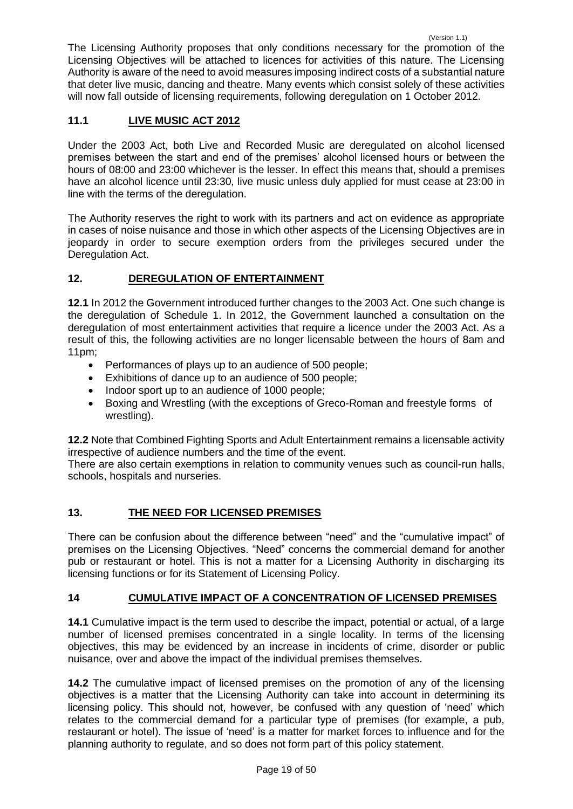The Licensing Authority proposes that only conditions necessary for the promotion of the Licensing Objectives will be attached to licences for activities of this nature. The Licensing Authority is aware of the need to avoid measures imposing indirect costs of a substantial nature that deter live music, dancing and theatre. Many events which consist solely of these activities will now fall outside of licensing requirements, following deregulation on 1 October 2012.

# **11.1 LIVE MUSIC ACT 2012**

Under the 2003 Act, both Live and Recorded Music are deregulated on alcohol licensed premises between the start and end of the premises' alcohol licensed hours or between the hours of 08:00 and 23:00 whichever is the lesser. In effect this means that, should a premises have an alcohol licence until 23:30, live music unless duly applied for must cease at 23:00 in line with the terms of the deregulation.

The Authority reserves the right to work with its partners and act on evidence as appropriate in cases of noise nuisance and those in which other aspects of the Licensing Objectives are in jeopardy in order to secure exemption orders from the privileges secured under the Deregulation Act.

# <span id="page-18-0"></span>**12. DEREGULATION OF ENTERTAINMENT**

**12.1** In 2012 the Government introduced further changes to the 2003 Act. One such change is the deregulation of Schedule 1. In 2012, the Government launched a consultation on the deregulation of most entertainment activities that require a licence under the 2003 Act. As a result of this, the following activities are no longer licensable between the hours of 8am and 11pm;

- Performances of plays up to an audience of 500 people;
- Exhibitions of dance up to an audience of 500 people;
- Indoor sport up to an audience of 1000 people;
- Boxing and Wrestling (with the exceptions of Greco-Roman and freestyle forms of wrestling).

**12.2** Note that Combined Fighting Sports and Adult Entertainment remains a licensable activity irrespective of audience numbers and the time of the event.

There are also certain exemptions in relation to community venues such as council-run halls, schools, hospitals and nurseries.

# <span id="page-18-1"></span>**13. THE NEED FOR LICENSED PREMISES**

There can be confusion about the difference between "need" and the "cumulative impact" of premises on the Licensing Objectives. "Need" concerns the commercial demand for another pub or restaurant or hotel. This is not a matter for a Licensing Authority in discharging its licensing functions or for its Statement of Licensing Policy.

# <span id="page-18-2"></span>**14 CUMULATIVE IMPACT OF A CONCENTRATION OF LICENSED PREMISES**

**14.1** Cumulative impact is the term used to describe the impact, potential or actual, of a large number of licensed premises concentrated in a single locality. In terms of the licensing objectives, this may be evidenced by an increase in incidents of crime, disorder or public nuisance, over and above the impact of the individual premises themselves.

**14.2** The cumulative impact of licensed premises on the promotion of any of the licensing objectives is a matter that the Licensing Authority can take into account in determining its licensing policy. This should not, however, be confused with any question of 'need' which relates to the commercial demand for a particular type of premises (for example, a pub, restaurant or hotel). The issue of 'need' is a matter for market forces to influence and for the planning authority to regulate, and so does not form part of this policy statement.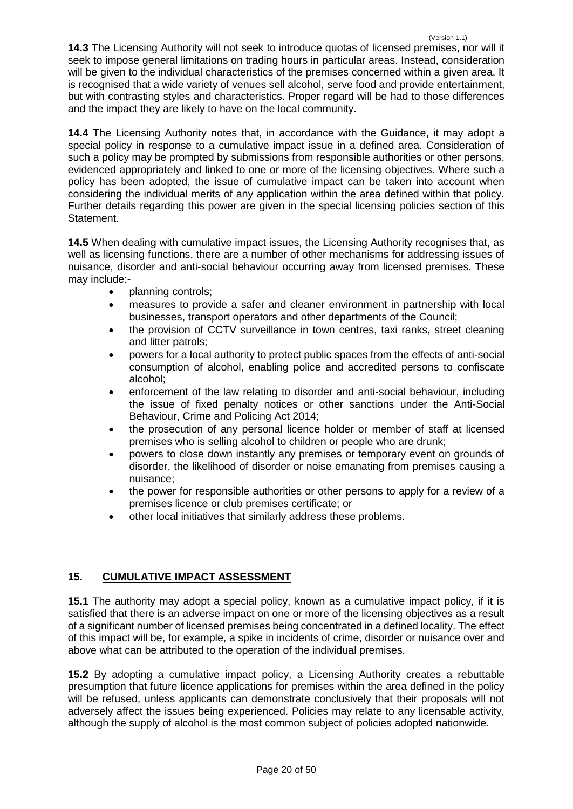(Version 1.1) **14.3** The Licensing Authority will not seek to introduce quotas of licensed premises, nor will it seek to impose general limitations on trading hours in particular areas. Instead, consideration will be given to the individual characteristics of the premises concerned within a given area. It is recognised that a wide variety of venues sell alcohol, serve food and provide entertainment, but with contrasting styles and characteristics. Proper regard will be had to those differences and the impact they are likely to have on the local community.

**14.4** The Licensing Authority notes that, in accordance with the Guidance, it may adopt a special policy in response to a cumulative impact issue in a defined area. Consideration of such a policy may be prompted by submissions from responsible authorities or other persons, evidenced appropriately and linked to one or more of the licensing objectives. Where such a policy has been adopted, the issue of cumulative impact can be taken into account when considering the individual merits of any application within the area defined within that policy. Further details regarding this power are given in the special licensing policies section of this Statement.

**14.5** When dealing with cumulative impact issues, the Licensing Authority recognises that, as well as licensing functions, there are a number of other mechanisms for addressing issues of nuisance, disorder and anti-social behaviour occurring away from licensed premises. These may include:-

- planning controls;
- measures to provide a safer and cleaner environment in partnership with local businesses, transport operators and other departments of the Council;
- the provision of CCTV surveillance in town centres, taxi ranks, street cleaning and litter patrols;
- powers for a local authority to protect public spaces from the effects of anti-social consumption of alcohol, enabling police and accredited persons to confiscate alcohol;
- enforcement of the law relating to disorder and anti-social behaviour, including the issue of fixed penalty notices or other sanctions under the Anti-Social Behaviour, Crime and Policing Act 2014;
- the prosecution of any personal licence holder or member of staff at licensed premises who is selling alcohol to children or people who are drunk;
- powers to close down instantly any premises or temporary event on grounds of disorder, the likelihood of disorder or noise emanating from premises causing a nuisance;
- the power for responsible authorities or other persons to apply for a review of a premises licence or club premises certificate; or
- other local initiatives that similarly address these problems.

# <span id="page-19-0"></span>**15. CUMULATIVE IMPACT ASSESSMENT**

**15.1** The authority may adopt a special policy, known as a cumulative impact policy, if it is satisfied that there is an adverse impact on one or more of the licensing objectives as a result of a significant number of licensed premises being concentrated in a defined locality. The effect of this impact will be, for example, a spike in incidents of crime, disorder or nuisance over and above what can be attributed to the operation of the individual premises.

**15.2** By adopting a cumulative impact policy, a Licensing Authority creates a rebuttable presumption that future licence applications for premises within the area defined in the policy will be refused, unless applicants can demonstrate conclusively that their proposals will not adversely affect the issues being experienced. Policies may relate to any licensable activity, although the supply of alcohol is the most common subject of policies adopted nationwide.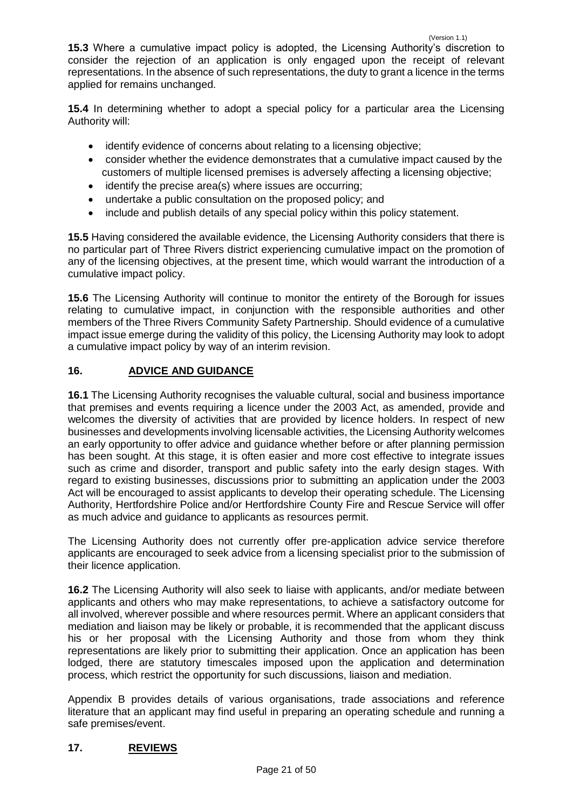**15.3** Where a cumulative impact policy is adopted, the Licensing Authority's discretion to consider the rejection of an application is only engaged upon the receipt of relevant representations. In the absence of such representations, the duty to grant a licence in the terms applied for remains unchanged.

**15.4** In determining whether to adopt a special policy for a particular area the Licensing Authority will:

- identify evidence of concerns about relating to a licensing objective;
- consider whether the evidence demonstrates that a cumulative impact caused by the customers of multiple licensed premises is adversely affecting a licensing objective;
- identify the precise area(s) where issues are occurring;
- undertake a public consultation on the proposed policy; and
- include and publish details of any special policy within this policy statement.

**15.5** Having considered the available evidence, the Licensing Authority considers that there is no particular part of Three Rivers district experiencing cumulative impact on the promotion of any of the licensing objectives, at the present time, which would warrant the introduction of a cumulative impact policy.

**15.6** The Licensing Authority will continue to monitor the entirety of the Borough for issues relating to cumulative impact, in conjunction with the responsible authorities and other members of the Three Rivers Community Safety Partnership. Should evidence of a cumulative impact issue emerge during the validity of this policy, the Licensing Authority may look to adopt a cumulative impact policy by way of an interim revision.

# <span id="page-20-0"></span>**16. ADVICE AND GUIDANCE**

**16.1** The Licensing Authority recognises the valuable cultural, social and business importance that premises and events requiring a licence under the 2003 Act, as amended, provide and welcomes the diversity of activities that are provided by licence holders. In respect of new businesses and developments involving licensable activities, the Licensing Authority welcomes an early opportunity to offer advice and guidance whether before or after planning permission has been sought. At this stage, it is often easier and more cost effective to integrate issues such as crime and disorder, transport and public safety into the early design stages. With regard to existing businesses, discussions prior to submitting an application under the 2003 Act will be encouraged to assist applicants to develop their operating schedule. The Licensing Authority, Hertfordshire Police and/or Hertfordshire County Fire and Rescue Service will offer as much advice and guidance to applicants as resources permit.

The Licensing Authority does not currently offer pre-application advice service therefore applicants are encouraged to seek advice from a licensing specialist prior to the submission of their licence application.

**16.2** The Licensing Authority will also seek to liaise with applicants, and/or mediate between applicants and others who may make representations, to achieve a satisfactory outcome for all involved, wherever possible and where resources permit. Where an applicant considers that mediation and liaison may be likely or probable, it is recommended that the applicant discuss his or her proposal with the Licensing Authority and those from whom they think representations are likely prior to submitting their application. Once an application has been lodged, there are statutory timescales imposed upon the application and determination process, which restrict the opportunity for such discussions, liaison and mediation.

Appendix B provides details of various organisations, trade associations and reference literature that an applicant may find useful in preparing an operating schedule and running a safe premises/event.

# <span id="page-20-1"></span>**17. REVIEWS**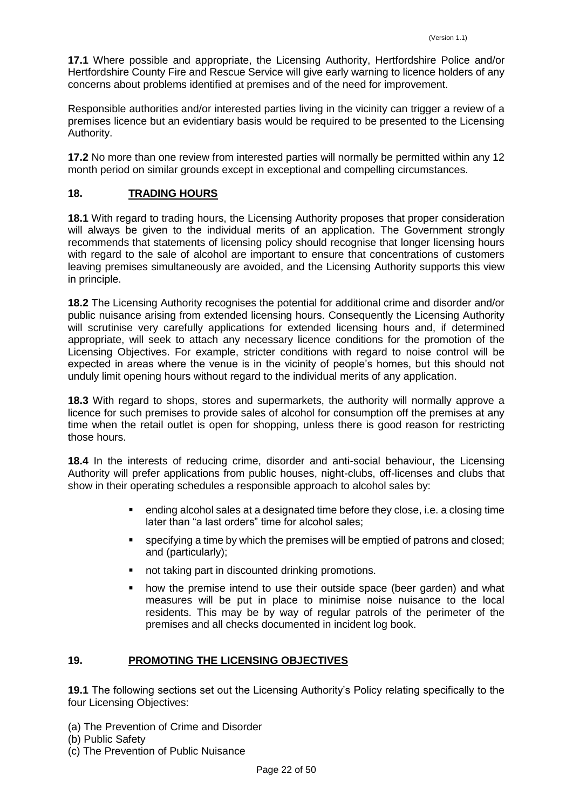**17.1** Where possible and appropriate, the Licensing Authority, Hertfordshire Police and/or Hertfordshire County Fire and Rescue Service will give early warning to licence holders of any concerns about problems identified at premises and of the need for improvement.

Responsible authorities and/or interested parties living in the vicinity can trigger a review of a premises licence but an evidentiary basis would be required to be presented to the Licensing Authority.

**17.2** No more than one review from interested parties will normally be permitted within any 12 month period on similar grounds except in exceptional and compelling circumstances.

# <span id="page-21-0"></span>**18. TRADING HOURS**

**18.1** With regard to trading hours, the Licensing Authority proposes that proper consideration will always be given to the individual merits of an application. The Government strongly recommends that statements of licensing policy should recognise that longer licensing hours with regard to the sale of alcohol are important to ensure that concentrations of customers leaving premises simultaneously are avoided, and the Licensing Authority supports this view in principle.

**18.2** The Licensing Authority recognises the potential for additional crime and disorder and/or public nuisance arising from extended licensing hours. Consequently the Licensing Authority will scrutinise very carefully applications for extended licensing hours and, if determined appropriate, will seek to attach any necessary licence conditions for the promotion of the Licensing Objectives. For example, stricter conditions with regard to noise control will be expected in areas where the venue is in the vicinity of people's homes, but this should not unduly limit opening hours without regard to the individual merits of any application.

**18.3** With regard to shops, stores and supermarkets, the authority will normally approve a licence for such premises to provide sales of alcohol for consumption off the premises at any time when the retail outlet is open for shopping, unless there is good reason for restricting those hours.

**18.4** In the interests of reducing crime, disorder and anti-social behaviour, the Licensing Authority will prefer applications from public houses, night-clubs, off-licenses and clubs that show in their operating schedules a responsible approach to alcohol sales by:

- ending alcohol sales at a designated time before they close, i.e. a closing time later than "a last orders" time for alcohol sales;
- **specifying a time by which the premises will be emptied of patrons and closed;** and (particularly);
- not taking part in discounted drinking promotions.
- how the premise intend to use their outside space (beer garden) and what measures will be put in place to minimise noise nuisance to the local residents. This may be by way of regular patrols of the perimeter of the premises and all checks documented in incident log book.

# <span id="page-21-1"></span>**19. PROMOTING THE LICENSING OBJECTIVES**

**19.1** The following sections set out the Licensing Authority's Policy relating specifically to the four Licensing Objectives:

- (a) The Prevention of Crime and Disorder
- (b) Public Safety
- (c) The Prevention of Public Nuisance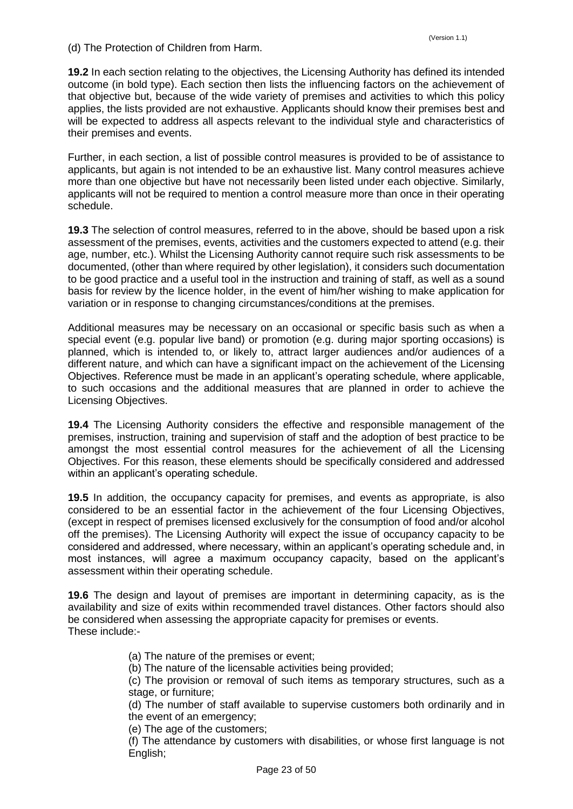(d) The Protection of Children from Harm.

**19.2** In each section relating to the objectives, the Licensing Authority has defined its intended outcome (in bold type). Each section then lists the influencing factors on the achievement of that objective but, because of the wide variety of premises and activities to which this policy applies, the lists provided are not exhaustive. Applicants should know their premises best and will be expected to address all aspects relevant to the individual style and characteristics of their premises and events.

Further, in each section, a list of possible control measures is provided to be of assistance to applicants, but again is not intended to be an exhaustive list. Many control measures achieve more than one objective but have not necessarily been listed under each objective. Similarly, applicants will not be required to mention a control measure more than once in their operating schedule.

**19.3** The selection of control measures, referred to in the above, should be based upon a risk assessment of the premises, events, activities and the customers expected to attend (e.g. their age, number, etc.). Whilst the Licensing Authority cannot require such risk assessments to be documented, (other than where required by other legislation), it considers such documentation to be good practice and a useful tool in the instruction and training of staff, as well as a sound basis for review by the licence holder, in the event of him/her wishing to make application for variation or in response to changing circumstances/conditions at the premises.

Additional measures may be necessary on an occasional or specific basis such as when a special event (e.g. popular live band) or promotion (e.g. during major sporting occasions) is planned, which is intended to, or likely to, attract larger audiences and/or audiences of a different nature, and which can have a significant impact on the achievement of the Licensing Objectives. Reference must be made in an applicant's operating schedule, where applicable, to such occasions and the additional measures that are planned in order to achieve the Licensing Objectives.

**19.4** The Licensing Authority considers the effective and responsible management of the premises, instruction, training and supervision of staff and the adoption of best practice to be amongst the most essential control measures for the achievement of all the Licensing Objectives. For this reason, these elements should be specifically considered and addressed within an applicant's operating schedule.

**19.5** In addition, the occupancy capacity for premises, and events as appropriate, is also considered to be an essential factor in the achievement of the four Licensing Objectives, (except in respect of premises licensed exclusively for the consumption of food and/or alcohol off the premises). The Licensing Authority will expect the issue of occupancy capacity to be considered and addressed, where necessary, within an applicant's operating schedule and, in most instances, will agree a maximum occupancy capacity, based on the applicant's assessment within their operating schedule.

**19.6** The design and layout of premises are important in determining capacity, as is the availability and size of exits within recommended travel distances. Other factors should also be considered when assessing the appropriate capacity for premises or events. These include:-

- (a) The nature of the premises or event;
- (b) The nature of the licensable activities being provided;

(c) The provision or removal of such items as temporary structures, such as a stage, or furniture;

(d) The number of staff available to supervise customers both ordinarily and in the event of an emergency;

(e) The age of the customers;

(f) The attendance by customers with disabilities, or whose first language is not English;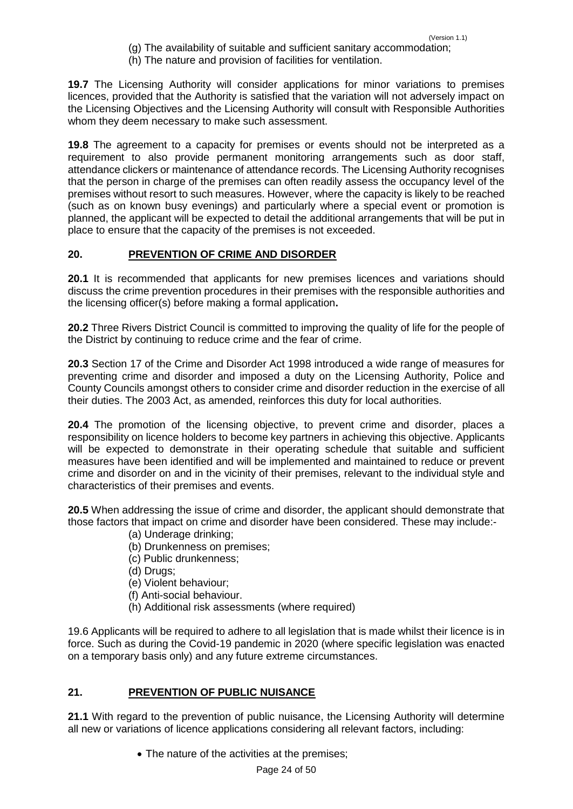- (g) The availability of suitable and sufficient sanitary accommodation;
- (h) The nature and provision of facilities for ventilation.

**19.7** The Licensing Authority will consider applications for minor variations to premises licences, provided that the Authority is satisfied that the variation will not adversely impact on the Licensing Objectives and the Licensing Authority will consult with Responsible Authorities whom they deem necessary to make such assessment.

**19.8** The agreement to a capacity for premises or events should not be interpreted as a requirement to also provide permanent monitoring arrangements such as door staff, attendance clickers or maintenance of attendance records. The Licensing Authority recognises that the person in charge of the premises can often readily assess the occupancy level of the premises without resort to such measures. However, where the capacity is likely to be reached (such as on known busy evenings) and particularly where a special event or promotion is planned, the applicant will be expected to detail the additional arrangements that will be put in place to ensure that the capacity of the premises is not exceeded.

# <span id="page-23-0"></span>**20. PREVENTION OF CRIME AND DISORDER**

**20.1** It is recommended that applicants for new premises licences and variations should discuss the crime prevention procedures in their premises with the responsible authorities and the licensing officer(s) before making a formal application**.**

**20.2** Three Rivers District Council is committed to improving the quality of life for the people of the District by continuing to reduce crime and the fear of crime.

**20.3** Section 17 of the Crime and Disorder Act 1998 introduced a wide range of measures for preventing crime and disorder and imposed a duty on the Licensing Authority, Police and County Councils amongst others to consider crime and disorder reduction in the exercise of all their duties. The 2003 Act, as amended, reinforces this duty for local authorities.

**20.4** The promotion of the licensing objective, to prevent crime and disorder, places a responsibility on licence holders to become key partners in achieving this objective. Applicants will be expected to demonstrate in their operating schedule that suitable and sufficient measures have been identified and will be implemented and maintained to reduce or prevent crime and disorder on and in the vicinity of their premises, relevant to the individual style and characteristics of their premises and events.

**20.5** When addressing the issue of crime and disorder, the applicant should demonstrate that those factors that impact on crime and disorder have been considered. These may include:-

- (a) Underage drinking;
- (b) Drunkenness on premises;
- (c) Public drunkenness;
- (d) Drugs;
- (e) Violent behaviour;
- (f) Anti-social behaviour.
- (h) Additional risk assessments (where required)

19.6 Applicants will be required to adhere to all legislation that is made whilst their licence is in force. Such as during the Covid-19 pandemic in 2020 (where specific legislation was enacted on a temporary basis only) and any future extreme circumstances.

# <span id="page-23-1"></span>**21. PREVENTION OF PUBLIC NUISANCE**

**21.1** With regard to the prevention of public nuisance, the Licensing Authority will determine all new or variations of licence applications considering all relevant factors, including:

• The nature of the activities at the premises;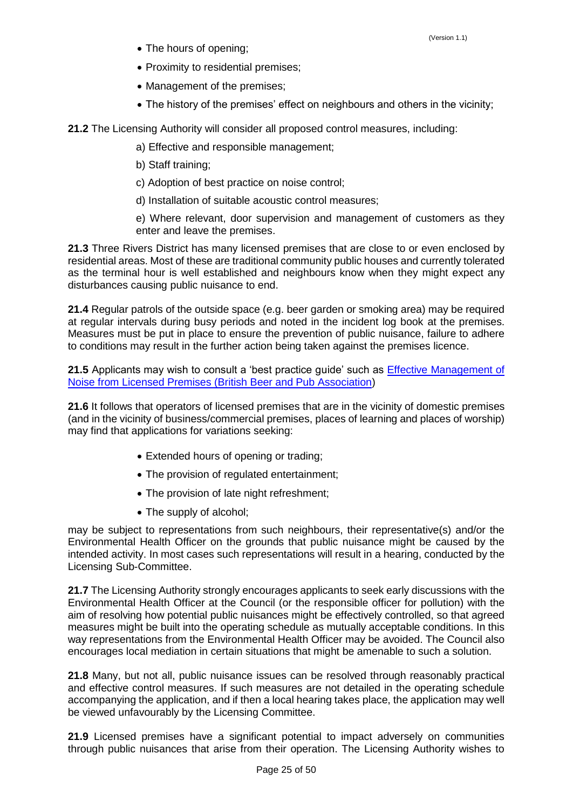- The hours of opening;
- Proximity to residential premises:
- Management of the premises:
- The history of the premises' effect on neighbours and others in the vicinity;

**21.2** The Licensing Authority will consider all proposed control measures, including:

a) Effective and responsible management;

b) Staff training;

c) Adoption of best practice on noise control;

d) Installation of suitable acoustic control measures;

e) Where relevant, door supervision and management of customers as they enter and leave the premises.

**21.3** Three Rivers District has many licensed premises that are close to or even enclosed by residential areas. Most of these are traditional community public houses and currently tolerated as the terminal hour is well established and neighbours know when they might expect any disturbances causing public nuisance to end.

**21.4** Regular patrols of the outside space (e.g. beer garden or smoking area) may be required at regular intervals during busy periods and noted in the incident log book at the premises. Measures must be put in place to ensure the prevention of public nuisance, failure to adhere to conditions may result in the further action being taken against the premises licence.

21.5 Applicants may wish to consult a 'best practice guide' such as **Effective Management of** [Noise from Licensed Premises \(British Beer and Pub Association\)](https://beerandpub.com/licensee-guidance/noise-control/)

**21.6** It follows that operators of licensed premises that are in the vicinity of domestic premises (and in the vicinity of business/commercial premises, places of learning and places of worship) may find that applications for variations seeking:

- Extended hours of opening or trading;
- The provision of regulated entertainment;
- The provision of late night refreshment;
- The supply of alcohol;

may be subject to representations from such neighbours, their representative(s) and/or the Environmental Health Officer on the grounds that public nuisance might be caused by the intended activity. In most cases such representations will result in a hearing, conducted by the Licensing Sub-Committee.

**21.7** The Licensing Authority strongly encourages applicants to seek early discussions with the Environmental Health Officer at the Council (or the responsible officer for pollution) with the aim of resolving how potential public nuisances might be effectively controlled, so that agreed measures might be built into the operating schedule as mutually acceptable conditions. In this way representations from the Environmental Health Officer may be avoided. The Council also encourages local mediation in certain situations that might be amenable to such a solution.

**21.8** Many, but not all, public nuisance issues can be resolved through reasonably practical and effective control measures. If such measures are not detailed in the operating schedule accompanying the application, and if then a local hearing takes place, the application may well be viewed unfavourably by the Licensing Committee.

**21.9** Licensed premises have a significant potential to impact adversely on communities through public nuisances that arise from their operation. The Licensing Authority wishes to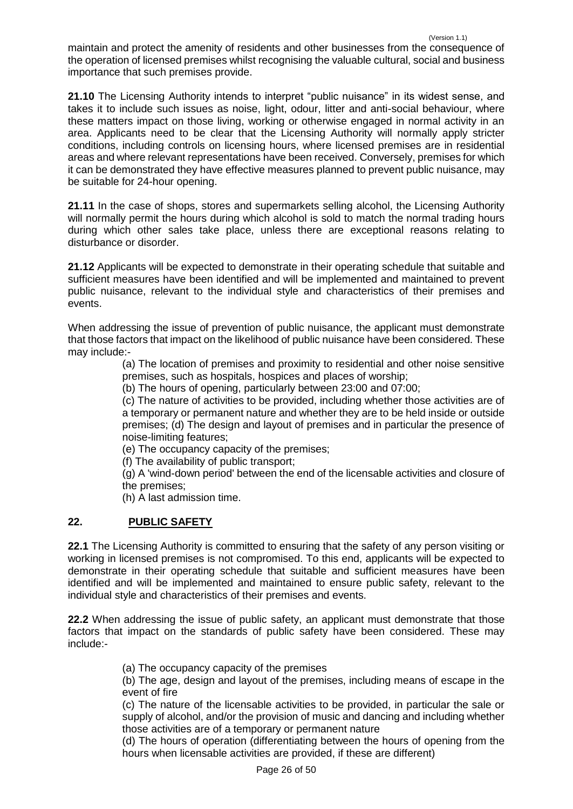maintain and protect the amenity of residents and other businesses from the consequence of the operation of licensed premises whilst recognising the valuable cultural, social and business importance that such premises provide.

**21.10** The Licensing Authority intends to interpret "public nuisance" in its widest sense, and takes it to include such issues as noise, light, odour, litter and anti-social behaviour, where these matters impact on those living, working or otherwise engaged in normal activity in an area. Applicants need to be clear that the Licensing Authority will normally apply stricter conditions, including controls on licensing hours, where licensed premises are in residential areas and where relevant representations have been received. Conversely, premises for which it can be demonstrated they have effective measures planned to prevent public nuisance, may be suitable for 24-hour opening.

**21.11** In the case of shops, stores and supermarkets selling alcohol, the Licensing Authority will normally permit the hours during which alcohol is sold to match the normal trading hours during which other sales take place, unless there are exceptional reasons relating to disturbance or disorder.

**21.12** Applicants will be expected to demonstrate in their operating schedule that suitable and sufficient measures have been identified and will be implemented and maintained to prevent public nuisance, relevant to the individual style and characteristics of their premises and events.

When addressing the issue of prevention of public nuisance, the applicant must demonstrate that those factors that impact on the likelihood of public nuisance have been considered. These may include:-

(a) The location of premises and proximity to residential and other noise sensitive premises, such as hospitals, hospices and places of worship;

(b) The hours of opening, particularly between 23:00 and 07:00;

(c) The nature of activities to be provided, including whether those activities are of a temporary or permanent nature and whether they are to be held inside or outside premises; (d) The design and layout of premises and in particular the presence of noise-limiting features;

(e) The occupancy capacity of the premises;

(f) The availability of public transport;

(g) A 'wind-down period' between the end of the licensable activities and closure of the premises;

(h) A last admission time.

# <span id="page-25-0"></span>**22. PUBLIC SAFETY**

**22.1** The Licensing Authority is committed to ensuring that the safety of any person visiting or working in licensed premises is not compromised. To this end, applicants will be expected to demonstrate in their operating schedule that suitable and sufficient measures have been identified and will be implemented and maintained to ensure public safety, relevant to the individual style and characteristics of their premises and events.

**22.2** When addressing the issue of public safety, an applicant must demonstrate that those factors that impact on the standards of public safety have been considered. These may include:-

(a) The occupancy capacity of the premises

(b) The age, design and layout of the premises, including means of escape in the event of fire

(c) The nature of the licensable activities to be provided, in particular the sale or supply of alcohol, and/or the provision of music and dancing and including whether those activities are of a temporary or permanent nature

(d) The hours of operation (differentiating between the hours of opening from the hours when licensable activities are provided, if these are different)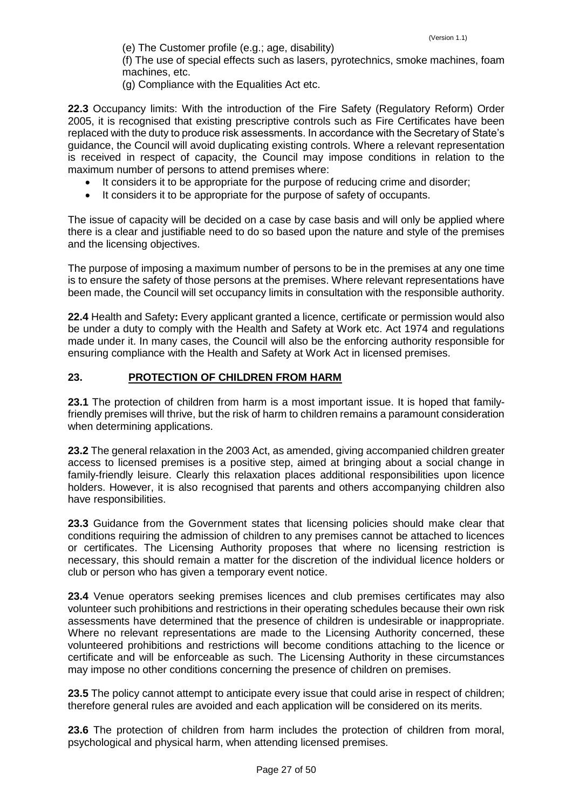(e) The Customer profile (e.g.; age, disability) (f) The use of special effects such as lasers, pyrotechnics, smoke machines, foam machines, etc.

(g) Compliance with the Equalities Act etc.

**22.3** Occupancy limits: With the introduction of the Fire Safety (Regulatory Reform) Order 2005, it is recognised that existing prescriptive controls such as Fire Certificates have been replaced with the duty to produce risk assessments. In accordance with the Secretary of State's guidance, the Council will avoid duplicating existing controls. Where a relevant representation is received in respect of capacity, the Council may impose conditions in relation to the maximum number of persons to attend premises where:

- It considers it to be appropriate for the purpose of reducing crime and disorder;
- It considers it to be appropriate for the purpose of safety of occupants.

The issue of capacity will be decided on a case by case basis and will only be applied where there is a clear and justifiable need to do so based upon the nature and style of the premises and the licensing objectives.

The purpose of imposing a maximum number of persons to be in the premises at any one time is to ensure the safety of those persons at the premises. Where relevant representations have been made, the Council will set occupancy limits in consultation with the responsible authority.

**22.4** Health and Safety**:** Every applicant granted a licence, certificate or permission would also be under a duty to comply with the Health and Safety at Work etc. Act 1974 and regulations made under it. In many cases, the Council will also be the enforcing authority responsible for ensuring compliance with the Health and Safety at Work Act in licensed premises.

# <span id="page-26-0"></span>**23. PROTECTION OF CHILDREN FROM HARM**

**23.1** The protection of children from harm is a most important issue. It is hoped that familyfriendly premises will thrive, but the risk of harm to children remains a paramount consideration when determining applications.

**23.2** The general relaxation in the 2003 Act, as amended, giving accompanied children greater access to licensed premises is a positive step, aimed at bringing about a social change in family-friendly leisure. Clearly this relaxation places additional responsibilities upon licence holders. However, it is also recognised that parents and others accompanying children also have responsibilities.

**23.3** Guidance from the Government states that licensing policies should make clear that conditions requiring the admission of children to any premises cannot be attached to licences or certificates. The Licensing Authority proposes that where no licensing restriction is necessary, this should remain a matter for the discretion of the individual licence holders or club or person who has given a temporary event notice.

**23.4** Venue operators seeking premises licences and club premises certificates may also volunteer such prohibitions and restrictions in their operating schedules because their own risk assessments have determined that the presence of children is undesirable or inappropriate. Where no relevant representations are made to the Licensing Authority concerned, these volunteered prohibitions and restrictions will become conditions attaching to the licence or certificate and will be enforceable as such. The Licensing Authority in these circumstances may impose no other conditions concerning the presence of children on premises.

**23.5** The policy cannot attempt to anticipate every issue that could arise in respect of children; therefore general rules are avoided and each application will be considered on its merits.

**23.6** The protection of children from harm includes the protection of children from moral, psychological and physical harm, when attending licensed premises.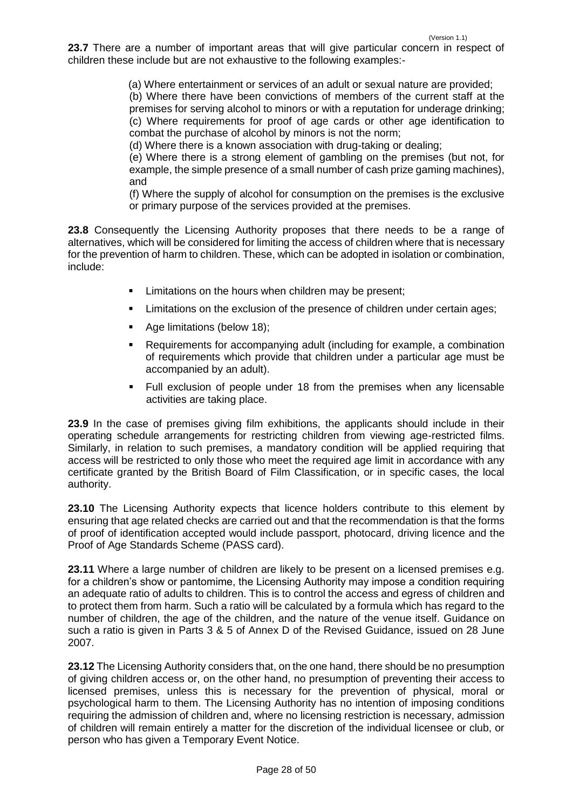23.7 There are a number of important areas that will give particular concern in respect of children these include but are not exhaustive to the following examples:-

(a) Where entertainment or services of an adult or sexual nature are provided;

(b) Where there have been convictions of members of the current staff at the premises for serving alcohol to minors or with a reputation for underage drinking; (c) Where requirements for proof of age cards or other age identification to combat the purchase of alcohol by minors is not the norm;

(d) Where there is a known association with drug-taking or dealing;

(e) Where there is a strong element of gambling on the premises (but not, for example, the simple presence of a small number of cash prize gaming machines), and

(f) Where the supply of alcohol for consumption on the premises is the exclusive or primary purpose of the services provided at the premises.

**23.8** Consequently the Licensing Authority proposes that there needs to be a range of alternatives, which will be considered for limiting the access of children where that is necessary for the prevention of harm to children. These, which can be adopted in isolation or combination, include:

- **EXECT** Limitations on the hours when children may be present;
- **EXECT** Limitations on the exclusion of the presence of children under certain ages;
- Age limitations (below 18);
- Requirements for accompanying adult (including for example, a combination of requirements which provide that children under a particular age must be accompanied by an adult).
- Full exclusion of people under 18 from the premises when any licensable activities are taking place.

**23.9** In the case of premises giving film exhibitions, the applicants should include in their operating schedule arrangements for restricting children from viewing age-restricted films. Similarly, in relation to such premises, a mandatory condition will be applied requiring that access will be restricted to only those who meet the required age limit in accordance with any certificate granted by the British Board of Film Classification, or in specific cases, the local authority.

**23.10** The Licensing Authority expects that licence holders contribute to this element by ensuring that age related checks are carried out and that the recommendation is that the forms of proof of identification accepted would include passport, photocard, driving licence and the Proof of Age Standards Scheme (PASS card).

**23.11** Where a large number of children are likely to be present on a licensed premises e.g. for a children's show or pantomime, the Licensing Authority may impose a condition requiring an adequate ratio of adults to children. This is to control the access and egress of children and to protect them from harm. Such a ratio will be calculated by a formula which has regard to the number of children, the age of the children, and the nature of the venue itself. Guidance on such a ratio is given in Parts 3 & 5 of Annex D of the Revised Guidance, issued on 28 June 2007.

**23.12** The Licensing Authority considers that, on the one hand, there should be no presumption of giving children access or, on the other hand, no presumption of preventing their access to licensed premises, unless this is necessary for the prevention of physical, moral or psychological harm to them. The Licensing Authority has no intention of imposing conditions requiring the admission of children and, where no licensing restriction is necessary, admission of children will remain entirely a matter for the discretion of the individual licensee or club, or person who has given a Temporary Event Notice.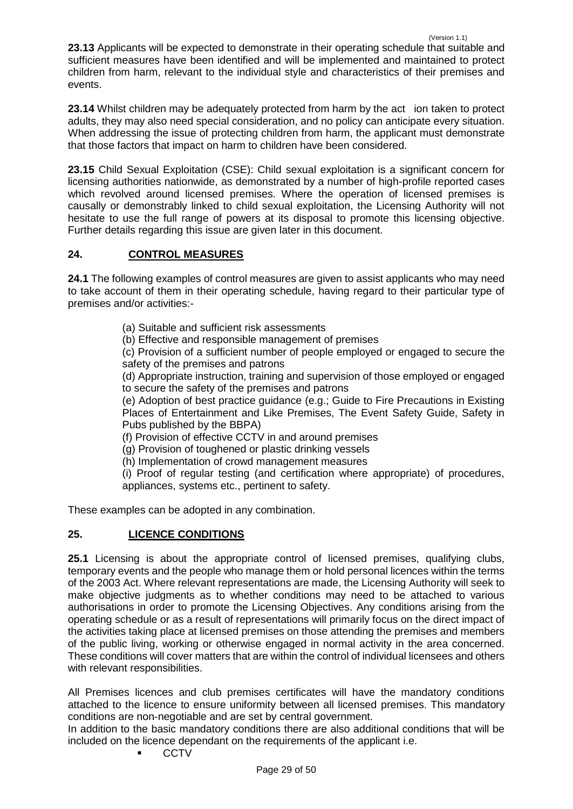**23.14** Whilst children may be adequately protected from harm by the act ion taken to protect adults, they may also need special consideration, and no policy can anticipate every situation. When addressing the issue of protecting children from harm, the applicant must demonstrate that those factors that impact on harm to children have been considered.

**23.15** Child Sexual Exploitation (CSE): Child sexual exploitation is a significant concern for licensing authorities nationwide, as demonstrated by a number of high-profile reported cases which revolved around licensed premises. Where the operation of licensed premises is causally or demonstrably linked to child sexual exploitation, the Licensing Authority will not hesitate to use the full range of powers at its disposal to promote this licensing objective. Further details regarding this issue are given later in this document.

# <span id="page-28-0"></span>**24. CONTROL MEASURES**

**24.1** The following examples of control measures are given to assist applicants who may need to take account of them in their operating schedule, having regard to their particular type of premises and/or activities:-

- (a) Suitable and sufficient risk assessments
- (b) Effective and responsible management of premises

(c) Provision of a sufficient number of people employed or engaged to secure the safety of the premises and patrons

(d) Appropriate instruction, training and supervision of those employed or engaged to secure the safety of the premises and patrons

(e) Adoption of best practice guidance (e.g.; Guide to Fire Precautions in Existing Places of Entertainment and Like Premises, The Event Safety Guide, Safety in Pubs published by the BBPA)

- (f) Provision of effective CCTV in and around premises
- (g) Provision of toughened or plastic drinking vessels
- (h) Implementation of crowd management measures

(i) Proof of regular testing (and certification where appropriate) of procedures, appliances, systems etc., pertinent to safety.

These examples can be adopted in any combination.

# <span id="page-28-1"></span>**25. LICENCE CONDITIONS**

**25.1** Licensing is about the appropriate control of licensed premises, qualifying clubs, temporary events and the people who manage them or hold personal licences within the terms of the 2003 Act. Where relevant representations are made, the Licensing Authority will seek to make objective judgments as to whether conditions may need to be attached to various authorisations in order to promote the Licensing Objectives. Any conditions arising from the operating schedule or as a result of representations will primarily focus on the direct impact of the activities taking place at licensed premises on those attending the premises and members of the public living, working or otherwise engaged in normal activity in the area concerned. These conditions will cover matters that are within the control of individual licensees and others with relevant responsibilities.

All Premises licences and club premises certificates will have the mandatory conditions attached to the licence to ensure uniformity between all licensed premises. This mandatory conditions are non-negotiable and are set by central government.

In addition to the basic mandatory conditions there are also additional conditions that will be included on the licence dependant on the requirements of the applicant i.e.

**CCTV**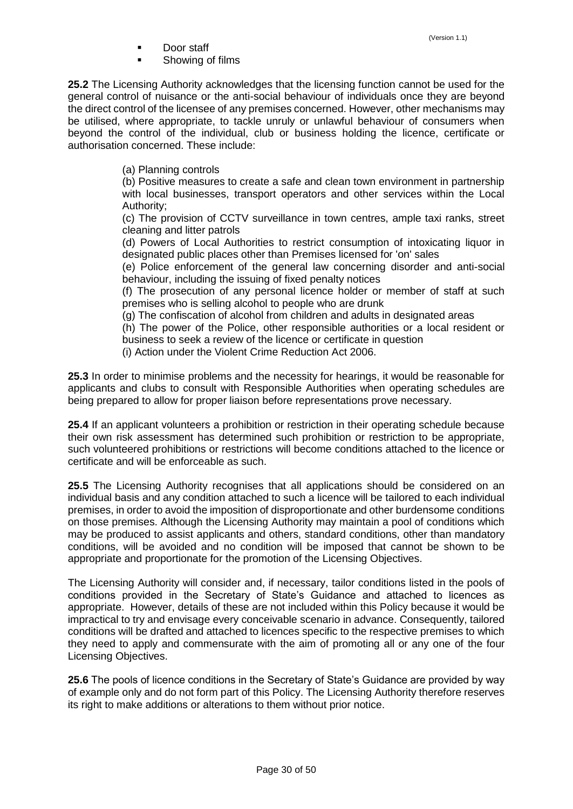- Door staff
- Showing of films

**25.2** The Licensing Authority acknowledges that the licensing function cannot be used for the general control of nuisance or the anti-social behaviour of individuals once they are beyond the direct control of the licensee of any premises concerned. However, other mechanisms may be utilised, where appropriate, to tackle unruly or unlawful behaviour of consumers when beyond the control of the individual, club or business holding the licence, certificate or authorisation concerned. These include:

(a) Planning controls

(b) Positive measures to create a safe and clean town environment in partnership with local businesses, transport operators and other services within the Local Authority;

(c) The provision of CCTV surveillance in town centres, ample taxi ranks, street cleaning and litter patrols

(d) Powers of Local Authorities to restrict consumption of intoxicating liquor in designated public places other than Premises licensed for 'on' sales

(e) Police enforcement of the general law concerning disorder and anti-social behaviour, including the issuing of fixed penalty notices

(f) The prosecution of any personal licence holder or member of staff at such premises who is selling alcohol to people who are drunk

(g) The confiscation of alcohol from children and adults in designated areas

(h) The power of the Police, other responsible authorities or a local resident or business to seek a review of the licence or certificate in question

(i) Action under the Violent Crime Reduction Act 2006.

**25.3** In order to minimise problems and the necessity for hearings, it would be reasonable for applicants and clubs to consult with Responsible Authorities when operating schedules are being prepared to allow for proper liaison before representations prove necessary.

**25.4** If an applicant volunteers a prohibition or restriction in their operating schedule because their own risk assessment has determined such prohibition or restriction to be appropriate, such volunteered prohibitions or restrictions will become conditions attached to the licence or certificate and will be enforceable as such.

**25.5** The Licensing Authority recognises that all applications should be considered on an individual basis and any condition attached to such a licence will be tailored to each individual premises, in order to avoid the imposition of disproportionate and other burdensome conditions on those premises. Although the Licensing Authority may maintain a pool of conditions which may be produced to assist applicants and others, standard conditions, other than mandatory conditions, will be avoided and no condition will be imposed that cannot be shown to be appropriate and proportionate for the promotion of the Licensing Objectives.

The Licensing Authority will consider and, if necessary, tailor conditions listed in the pools of conditions provided in the Secretary of State's Guidance and attached to licences as appropriate. However, details of these are not included within this Policy because it would be impractical to try and envisage every conceivable scenario in advance. Consequently, tailored conditions will be drafted and attached to licences specific to the respective premises to which they need to apply and commensurate with the aim of promoting all or any one of the four Licensing Objectives.

**25.6** The pools of licence conditions in the Secretary of State's Guidance are provided by way of example only and do not form part of this Policy. The Licensing Authority therefore reserves its right to make additions or alterations to them without prior notice.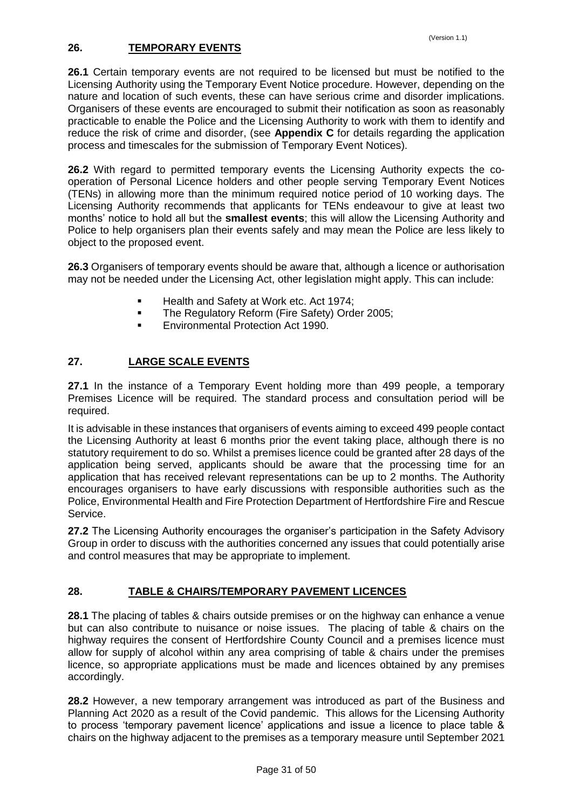# <span id="page-30-0"></span>**26. TEMPORARY EVENTS**

**26.1** Certain temporary events are not required to be licensed but must be notified to the Licensing Authority using the Temporary Event Notice procedure. However, depending on the nature and location of such events, these can have serious crime and disorder implications. Organisers of these events are encouraged to submit their notification as soon as reasonably practicable to enable the Police and the Licensing Authority to work with them to identify and reduce the risk of crime and disorder, (see **Appendix C** for details regarding the application process and timescales for the submission of Temporary Event Notices).

**26.2** With regard to permitted temporary events the Licensing Authority expects the cooperation of Personal Licence holders and other people serving Temporary Event Notices (TENs) in allowing more than the minimum required notice period of 10 working days. The Licensing Authority recommends that applicants for TENs endeavour to give at least two months' notice to hold all but the **smallest events**; this will allow the Licensing Authority and Police to help organisers plan their events safely and may mean the Police are less likely to object to the proposed event.

**26.3** Organisers of temporary events should be aware that, although a licence or authorisation may not be needed under the Licensing Act, other legislation might apply. This can include:

- **Health and Safety at Work etc. Act 1974;**
- **The Regulatory Reform (Fire Safety) Order 2005;**
- **Environmental Protection Act 1990.**

# <span id="page-30-1"></span>**27. LARGE SCALE EVENTS**

**27.1** In the instance of a Temporary Event holding more than 499 people, a temporary Premises Licence will be required. The standard process and consultation period will be required.

It is advisable in these instances that organisers of events aiming to exceed 499 people contact the Licensing Authority at least 6 months prior the event taking place, although there is no statutory requirement to do so. Whilst a premises licence could be granted after 28 days of the application being served, applicants should be aware that the processing time for an application that has received relevant representations can be up to 2 months. The Authority encourages organisers to have early discussions with responsible authorities such as the Police, Environmental Health and Fire Protection Department of Hertfordshire Fire and Rescue Service.

**27.2** The Licensing Authority encourages the organiser's participation in the Safety Advisory Group in order to discuss with the authorities concerned any issues that could potentially arise and control measures that may be appropriate to implement.

# <span id="page-30-2"></span>**28. TABLE & CHAIRS/TEMPORARY PAVEMENT LICENCES**

**28.1** The placing of tables & chairs outside premises or on the highway can enhance a venue but can also contribute to nuisance or noise issues. The placing of table & chairs on the highway requires the consent of Hertfordshire County Council and a premises licence must allow for supply of alcohol within any area comprising of table & chairs under the premises licence, so appropriate applications must be made and licences obtained by any premises accordingly.

**28.2** However, a new temporary arrangement was introduced as part of the Business and Planning Act 2020 as a result of the Covid pandemic. This allows for the Licensing Authority to process 'temporary pavement licence' applications and issue a licence to place table & chairs on the highway adjacent to the premises as a temporary measure until September 2021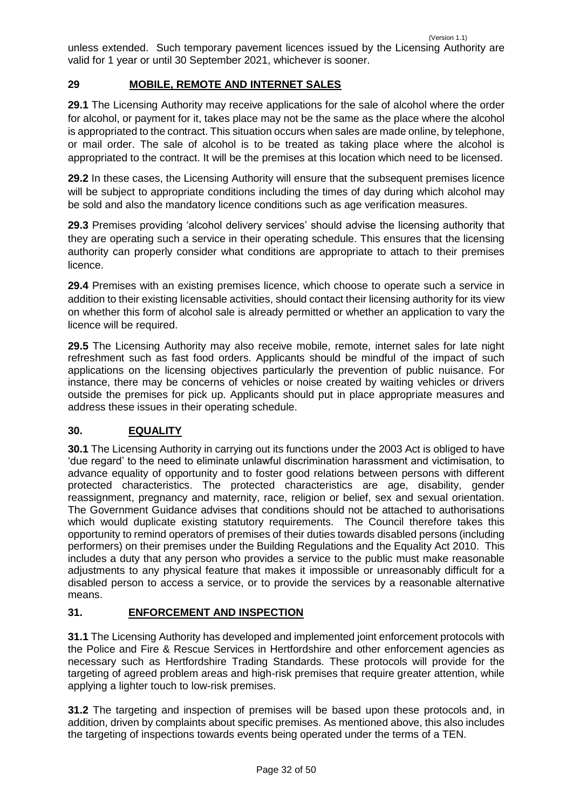unless extended. Such temporary pavement licences issued by the Licensing Authority are valid for 1 year or until 30 September 2021, whichever is sooner.

# <span id="page-31-0"></span>**29 MOBILE, REMOTE AND INTERNET SALES**

**29.1** The Licensing Authority may receive applications for the sale of alcohol where the order for alcohol, or payment for it, takes place may not be the same as the place where the alcohol is appropriated to the contract. This situation occurs when sales are made online, by telephone, or mail order. The sale of alcohol is to be treated as taking place where the alcohol is appropriated to the contract. It will be the premises at this location which need to be licensed.

**29.2** In these cases, the Licensing Authority will ensure that the subsequent premises licence will be subject to appropriate conditions including the times of day during which alcohol may be sold and also the mandatory licence conditions such as age verification measures.

**29.3** Premises providing 'alcohol delivery services' should advise the licensing authority that they are operating such a service in their operating schedule. This ensures that the licensing authority can properly consider what conditions are appropriate to attach to their premises licence.

**29.4** Premises with an existing premises licence, which choose to operate such a service in addition to their existing licensable activities, should contact their licensing authority for its view on whether this form of alcohol sale is already permitted or whether an application to vary the licence will be required.

**29.5** The Licensing Authority may also receive mobile, remote, internet sales for late night refreshment such as fast food orders. Applicants should be mindful of the impact of such applications on the licensing objectives particularly the prevention of public nuisance. For instance, there may be concerns of vehicles or noise created by waiting vehicles or drivers outside the premises for pick up. Applicants should put in place appropriate measures and address these issues in their operating schedule.

# <span id="page-31-1"></span>**30. EQUALITY**

**30.1** The Licensing Authority in carrying out its functions under the 2003 Act is obliged to have 'due regard' to the need to eliminate unlawful discrimination harassment and victimisation, to advance equality of opportunity and to foster good relations between persons with different protected characteristics. The protected characteristics are age, disability, gender reassignment, pregnancy and maternity, race, religion or belief, sex and sexual orientation. The Government Guidance advises that conditions should not be attached to authorisations which would duplicate existing statutory requirements. The Council therefore takes this opportunity to remind operators of premises of their duties towards disabled persons (including performers) on their premises under the Building Regulations and the Equality Act 2010. This includes a duty that any person who provides a service to the public must make reasonable adjustments to any physical feature that makes it impossible or unreasonably difficult for a disabled person to access a service, or to provide the services by a reasonable alternative means.

# <span id="page-31-2"></span>**31. ENFORCEMENT AND INSPECTION**

**31.1** The Licensing Authority has developed and implemented joint enforcement protocols with the Police and Fire & Rescue Services in Hertfordshire and other enforcement agencies as necessary such as Hertfordshire Trading Standards. These protocols will provide for the targeting of agreed problem areas and high-risk premises that require greater attention, while applying a lighter touch to low-risk premises.

**31.2** The targeting and inspection of premises will be based upon these protocols and, in addition, driven by complaints about specific premises. As mentioned above, this also includes the targeting of inspections towards events being operated under the terms of a TEN.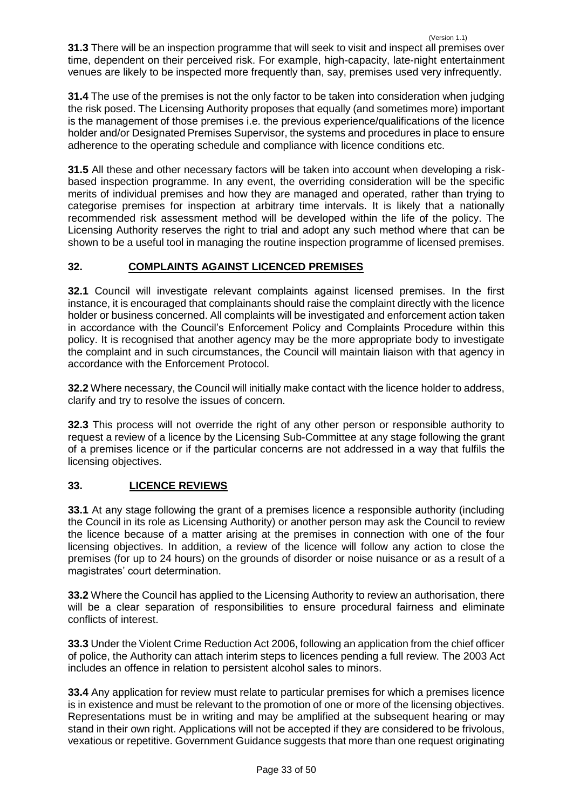(Version 1.1) **31.3** There will be an inspection programme that will seek to visit and inspect all premises over time, dependent on their perceived risk. For example, high-capacity, late-night entertainment venues are likely to be inspected more frequently than, say, premises used very infrequently.

**31.4** The use of the premises is not the only factor to be taken into consideration when judging the risk posed. The Licensing Authority proposes that equally (and sometimes more) important is the management of those premises i.e. the previous experience/qualifications of the licence holder and/or Designated Premises Supervisor, the systems and procedures in place to ensure adherence to the operating schedule and compliance with licence conditions etc.

**31.5** All these and other necessary factors will be taken into account when developing a riskbased inspection programme. In any event, the overriding consideration will be the specific merits of individual premises and how they are managed and operated, rather than trying to categorise premises for inspection at arbitrary time intervals. It is likely that a nationally recommended risk assessment method will be developed within the life of the policy. The Licensing Authority reserves the right to trial and adopt any such method where that can be shown to be a useful tool in managing the routine inspection programme of licensed premises.

# <span id="page-32-0"></span>**32. COMPLAINTS AGAINST LICENCED PREMISES**

**32.1** Council will investigate relevant complaints against licensed premises. In the first instance, it is encouraged that complainants should raise the complaint directly with the licence holder or business concerned. All complaints will be investigated and enforcement action taken in accordance with the Council's Enforcement Policy and Complaints Procedure within this policy. It is recognised that another agency may be the more appropriate body to investigate the complaint and in such circumstances, the Council will maintain liaison with that agency in accordance with the Enforcement Protocol.

**32.2** Where necessary, the Council will initially make contact with the licence holder to address, clarify and try to resolve the issues of concern.

**32.3** This process will not override the right of any other person or responsible authority to request a review of a licence by the Licensing Sub-Committee at any stage following the grant of a premises licence or if the particular concerns are not addressed in a way that fulfils the licensing objectives.

# <span id="page-32-1"></span>**33. LICENCE REVIEWS**

**33.1** At any stage following the grant of a premises licence a responsible authority (including the Council in its role as Licensing Authority) or another person may ask the Council to review the licence because of a matter arising at the premises in connection with one of the four licensing objectives. In addition, a review of the licence will follow any action to close the premises (for up to 24 hours) on the grounds of disorder or noise nuisance or as a result of a magistrates' court determination.

**33.2** Where the Council has applied to the Licensing Authority to review an authorisation, there will be a clear separation of responsibilities to ensure procedural fairness and eliminate conflicts of interest.

**33.3** Under the Violent Crime Reduction Act 2006, following an application from the chief officer of police, the Authority can attach interim steps to licences pending a full review. The 2003 Act includes an offence in relation to persistent alcohol sales to minors.

**33.4** Any application for review must relate to particular premises for which a premises licence is in existence and must be relevant to the promotion of one or more of the licensing objectives. Representations must be in writing and may be amplified at the subsequent hearing or may stand in their own right. Applications will not be accepted if they are considered to be frivolous, vexatious or repetitive. Government Guidance suggests that more than one request originating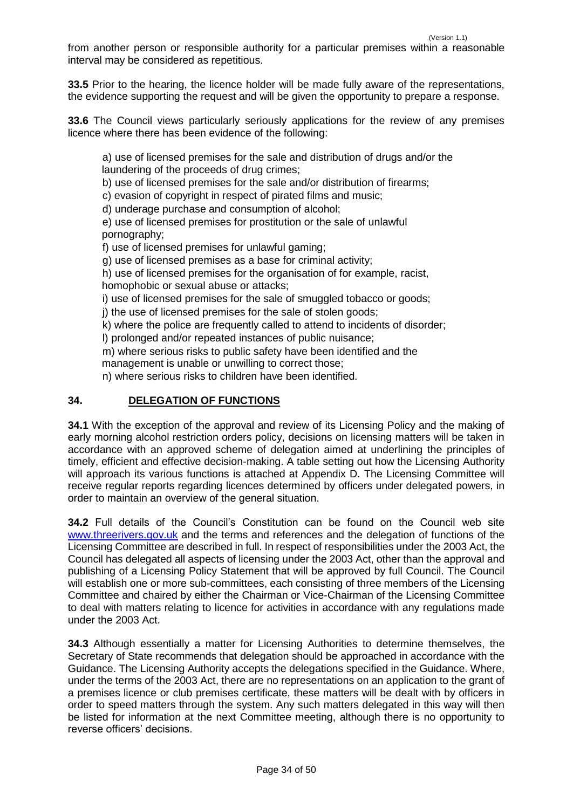from another person or responsible authority for a particular premises within a reasonable interval may be considered as repetitious.

**33.5** Prior to the hearing, the licence holder will be made fully aware of the representations, the evidence supporting the request and will be given the opportunity to prepare a response.

**33.6** The Council views particularly seriously applications for the review of any premises licence where there has been evidence of the following:

a) use of licensed premises for the sale and distribution of drugs and/or the laundering of the proceeds of drug crimes;

b) use of licensed premises for the sale and/or distribution of firearms;

c) evasion of copyright in respect of pirated films and music;

d) underage purchase and consumption of alcohol;

e) use of licensed premises for prostitution or the sale of unlawful pornography;

f) use of licensed premises for unlawful gaming;

g) use of licensed premises as a base for criminal activity;

h) use of licensed premises for the organisation of for example, racist,

homophobic or sexual abuse or attacks;

i) use of licensed premises for the sale of smuggled tobacco or goods;

j) the use of licensed premises for the sale of stolen goods;

k) where the police are frequently called to attend to incidents of disorder;

l) prolonged and/or repeated instances of public nuisance;

m) where serious risks to public safety have been identified and the management is unable or unwilling to correct those;

n) where serious risks to children have been identified.

# <span id="page-33-0"></span>**34. DELEGATION OF FUNCTIONS**

**34.1** With the exception of the approval and review of its Licensing Policy and the making of early morning alcohol restriction orders policy, decisions on licensing matters will be taken in accordance with an approved scheme of delegation aimed at underlining the principles of timely, efficient and effective decision-making. A table setting out how the Licensing Authority will approach its various functions is attached at Appendix D. The Licensing Committee will receive regular reports regarding licences determined by officers under delegated powers, in order to maintain an overview of the general situation.

**34.2** Full details of the Council's Constitution can be found on the Council web site [www.threerivers.gov.uk](http://www.threerivers.gov.uk/) and the terms and references and the delegation of functions of the Licensing Committee are described in full. In respect of responsibilities under the 2003 Act, the Council has delegated all aspects of licensing under the 2003 Act, other than the approval and publishing of a Licensing Policy Statement that will be approved by full Council. The Council will establish one or more sub-committees, each consisting of three members of the Licensing Committee and chaired by either the Chairman or Vice-Chairman of the Licensing Committee to deal with matters relating to licence for activities in accordance with any regulations made under the 2003 Act.

**34.3** Although essentially a matter for Licensing Authorities to determine themselves, the Secretary of State recommends that delegation should be approached in accordance with the Guidance. The Licensing Authority accepts the delegations specified in the Guidance. Where, under the terms of the 2003 Act, there are no representations on an application to the grant of a premises licence or club premises certificate, these matters will be dealt with by officers in order to speed matters through the system. Any such matters delegated in this way will then be listed for information at the next Committee meeting, although there is no opportunity to reverse officers' decisions.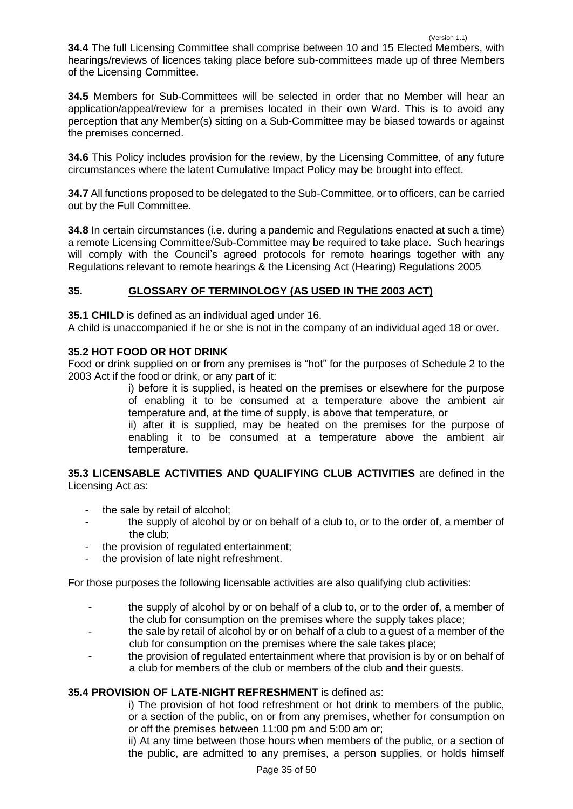**34.4** The full Licensing Committee shall comprise between 10 and 15 Elected Members, with hearings/reviews of licences taking place before sub-committees made up of three Members of the Licensing Committee.

**34.5** Members for Sub-Committees will be selected in order that no Member will hear an application/appeal/review for a premises located in their own Ward. This is to avoid any perception that any Member(s) sitting on a Sub-Committee may be biased towards or against the premises concerned.

**34.6** This Policy includes provision for the review, by the Licensing Committee, of any future circumstances where the latent Cumulative Impact Policy may be brought into effect.

**34.7** All functions proposed to be delegated to the Sub-Committee, or to officers, can be carried out by the Full Committee.

**34.8** In certain circumstances (i.e. during a pandemic and Regulations enacted at such a time) a remote Licensing Committee/Sub-Committee may be required to take place. Such hearings will comply with the Council's agreed protocols for remote hearings together with any Regulations relevant to remote hearings & the Licensing Act (Hearing) Regulations 2005

# <span id="page-34-0"></span>**35. GLOSSARY OF TERMINOLOGY (AS USED IN THE 2003 ACT)**

**35.1 CHILD** is defined as an individual aged under 16.

A child is unaccompanied if he or she is not in the company of an individual aged 18 or over.

# **35.2 HOT FOOD OR HOT DRINK**

Food or drink supplied on or from any premises is "hot" for the purposes of Schedule 2 to the 2003 Act if the food or drink, or any part of it:

i) before it is supplied, is heated on the premises or elsewhere for the purpose of enabling it to be consumed at a temperature above the ambient air temperature and, at the time of supply, is above that temperature, or

ii) after it is supplied, may be heated on the premises for the purpose of enabling it to be consumed at a temperature above the ambient air temperature.

**35.3 LICENSABLE ACTIVITIES AND QUALIFYING CLUB ACTIVITIES** are defined in the Licensing Act as:

- the sale by retail of alcohol;
- the supply of alcohol by or on behalf of a club to, or to the order of, a member of the club;
- the provision of regulated entertainment;
- the provision of late night refreshment.

For those purposes the following licensable activities are also qualifying club activities:

- the supply of alcohol by or on behalf of a club to, or to the order of, a member of the club for consumption on the premises where the supply takes place;
- the sale by retail of alcohol by or on behalf of a club to a quest of a member of the club for consumption on the premises where the sale takes place;
- the provision of regulated entertainment where that provision is by or on behalf of a club for members of the club or members of the club and their guests.

# **35.4 PROVISION OF LATE-NIGHT REFRESHMENT** is defined as:

i) The provision of hot food refreshment or hot drink to members of the public, or a section of the public, on or from any premises, whether for consumption on or off the premises between 11:00 pm and 5:00 am or;

ii) At any time between those hours when members of the public, or a section of the public, are admitted to any premises, a person supplies, or holds himself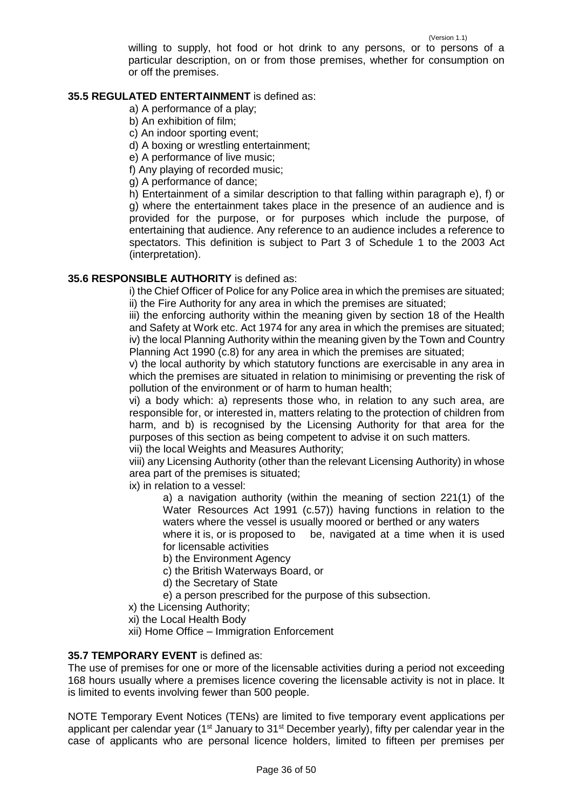willing to supply, hot food or hot drink to any persons, or to persons of a particular description, on or from those premises, whether for consumption on or off the premises.

#### **35.5 REGULATED ENTERTAINMENT** is defined as:

a) A performance of a play;

- b) An exhibition of film;
- c) An indoor sporting event;

d) A boxing or wrestling entertainment;

e) A performance of live music;

f) Any playing of recorded music;

g) A performance of dance;

h) Entertainment of a similar description to that falling within paragraph e), f) or g) where the entertainment takes place in the presence of an audience and is provided for the purpose, or for purposes which include the purpose, of entertaining that audience. Any reference to an audience includes a reference to spectators. This definition is subject to Part 3 of Schedule 1 to the 2003 Act (interpretation).

# **35.6 RESPONSIBLE AUTHORITY** is defined as:

i) the Chief Officer of Police for any Police area in which the premises are situated; ii) the Fire Authority for any area in which the premises are situated;

iii) the enforcing authority within the meaning given by section 18 of the Health and Safety at Work etc. Act 1974 for any area in which the premises are situated; iv) the local Planning Authority within the meaning given by the Town and Country Planning Act 1990 (c.8) for any area in which the premises are situated;

v) the local authority by which statutory functions are exercisable in any area in which the premises are situated in relation to minimising or preventing the risk of pollution of the environment or of harm to human health;

vi) a body which: a) represents those who, in relation to any such area, are responsible for, or interested in, matters relating to the protection of children from harm, and b) is recognised by the Licensing Authority for that area for the purposes of this section as being competent to advise it on such matters.

vii) the local Weights and Measures Authority;

viii) any Licensing Authority (other than the relevant Licensing Authority) in whose area part of the premises is situated;

ix) in relation to a vessel:

a) a navigation authority (within the meaning of section 221(1) of the Water Resources Act 1991 (c.57)) having functions in relation to the waters where the vessel is usually moored or berthed or any waters

where it is, or is proposed to be, navigated at a time when it is used for licensable activities

b) the Environment Agency

c) the British Waterways Board, or

d) the Secretary of State

- e) a person prescribed for the purpose of this subsection.
- x) the Licensing Authority;

xi) the Local Health Body

xii) Home Office – Immigration Enforcement

#### **35.7 TEMPORARY EVENT** is defined as:

The use of premises for one or more of the licensable activities during a period not exceeding 168 hours usually where a premises licence covering the licensable activity is not in place. It is limited to events involving fewer than 500 people.

NOTE Temporary Event Notices (TENs) are limited to five temporary event applications per applicant per calendar year ( $1<sup>st</sup>$  January to  $31<sup>st</sup>$  December yearly), fifty per calendar year in the case of applicants who are personal licence holders, limited to fifteen per premises per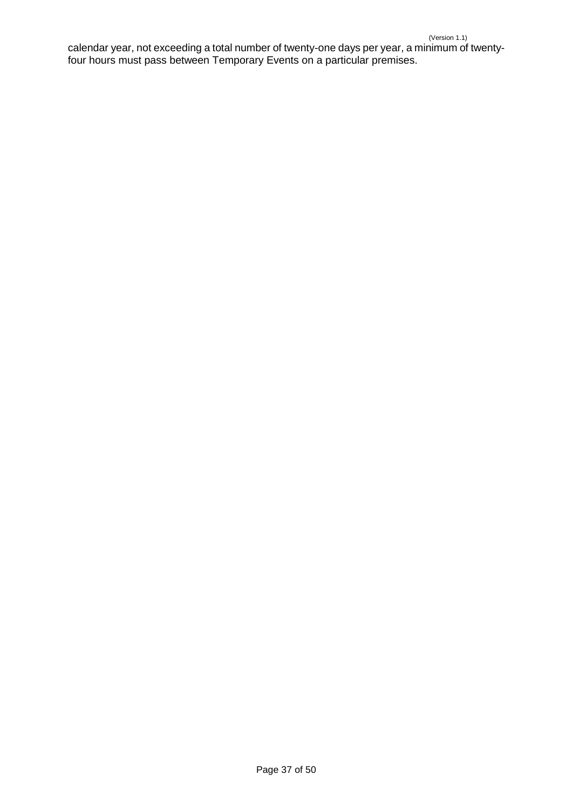<span id="page-36-0"></span>calendar year, not exceeding a total number of twenty-one days per year, a minimum of twentyfour hours must pass between Temporary Events on a particular premises.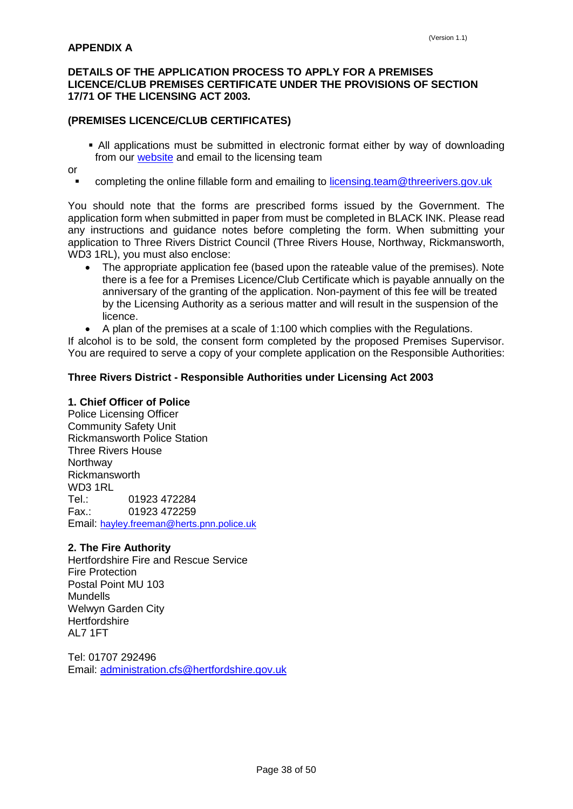# **DETAILS OF THE APPLICATION PROCESS TO APPLY FOR A PREMISES LICENCE/CLUB PREMISES CERTIFICATE UNDER THE PROVISIONS OF SECTION 17/71 OF THE LICENSING ACT 2003.**

# **(PREMISES LICENCE/CLUB CERTIFICATES)**

 All applications must be submitted in electronic format either by way of downloading from our [website](https://www.threerivers.gov.uk/egcl-page/alcohol-and-entertainment-licensing) and email to the licensing team

or

completing the online fillable form and emailing to [licensing.team@threerivers.gov.uk](mailto:licensing.team@threerivers.gov.uk)

You should note that the forms are prescribed forms issued by the Government. The application form when submitted in paper from must be completed in BLACK INK. Please read any instructions and guidance notes before completing the form. When submitting your application to Three Rivers District Council (Three Rivers House, Northway, Rickmansworth, WD3 1RL), you must also enclose:

- The appropriate application fee (based upon the rateable value of the premises). Note there is a fee for a Premises Licence/Club Certificate which is payable annually on the anniversary of the granting of the application. Non-payment of this fee will be treated by the Licensing Authority as a serious matter and will result in the suspension of the licence.
- A plan of the premises at a scale of 1:100 which complies with the Regulations.

If alcohol is to be sold, the consent form completed by the proposed Premises Supervisor. You are required to serve a copy of your complete application on the Responsible Authorities:

# **Three Rivers District - Responsible Authorities under Licensing Act 2003**

### **1. Chief Officer of Police**

Police Licensing Officer Community Safety Unit Rickmansworth Police Station Three Rivers House **Northway** Rickmansworth WD3 1RL Tel.: 01923 472284 Fax.: 01923 472259 Email: [hayley.freeman@herts.pnn.police.uk](mailto:hayley.freeman@herts.pnn.police.uk)

# **2. The Fire Authority**

Hertfordshire Fire and Rescue Service Fire Protection Postal Point MU 103 Mundells Welwyn Garden City **Hertfordshire** AL7 1FT

Tel: 01707 292496 Email: [administration.cfs@hertfordshire.gov.uk](mailto:administration.cfs@hertfordshire.gov.uk)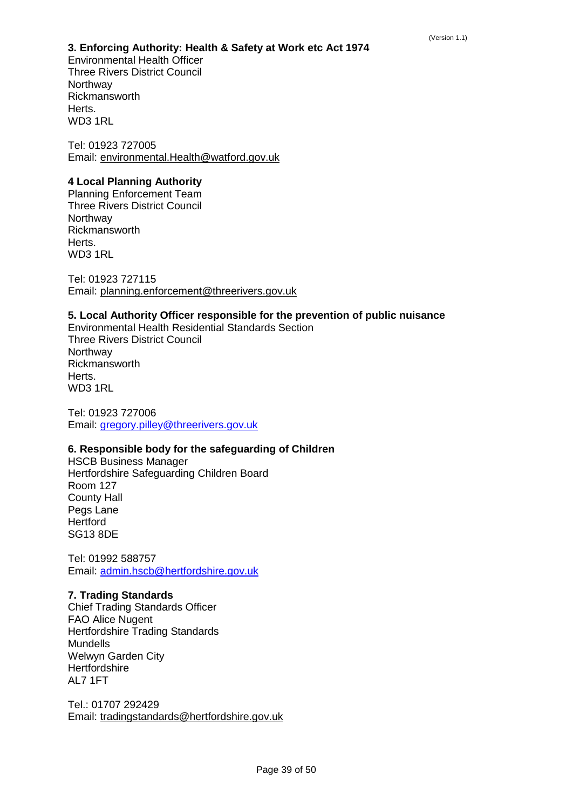# **3. Enforcing Authority: Health & Safety at Work etc Act 1974**

Environmental Health Officer Three Rivers District Council **Northway** Rickmansworth Herts. WD3 1RL

Tel: 01923 727005 Email: environmental.Health@watford.gov.uk

# **4 Local Planning Authority**

Planning Enforcement Team Three Rivers District Council **Northway** Rickmansworth Herts. WD3 1RL

Tel: 01923 727115 Email: planning.enforcement@threerivers.gov.uk

# **5. Local Authority Officer responsible for the prevention of public nuisance**

Environmental Health Residential Standards Section Three Rivers District Council **Northway** Rickmansworth Herts. WD3 1RL

Tel: 01923 727006 Email: [gregory.pilley@threerivers.gov.uk](mailto:Gloria.Gillespie@ThreeRivers.gov.uk)

# **6. Responsible body for the safeguarding of Children**

HSCB Business Manager Hertfordshire Safeguarding Children Board Room 127 County Hall Pegs Lane **Hertford** SG13 8DE

Tel: 01992 588757 Email: [admin.hscb@hertfordshire.gov.uk](mailto:admin.hscb@hertfordshire.gov.uk)

# **7. Trading Standards**

Chief Trading Standards Officer FAO Alice Nugent Hertfordshire Trading Standards Mundells Welwyn Garden City **Hertfordshire** AL7 1FT

Tel.: 01707 292429 Email: tradingstandards@hertfordshire.gov.uk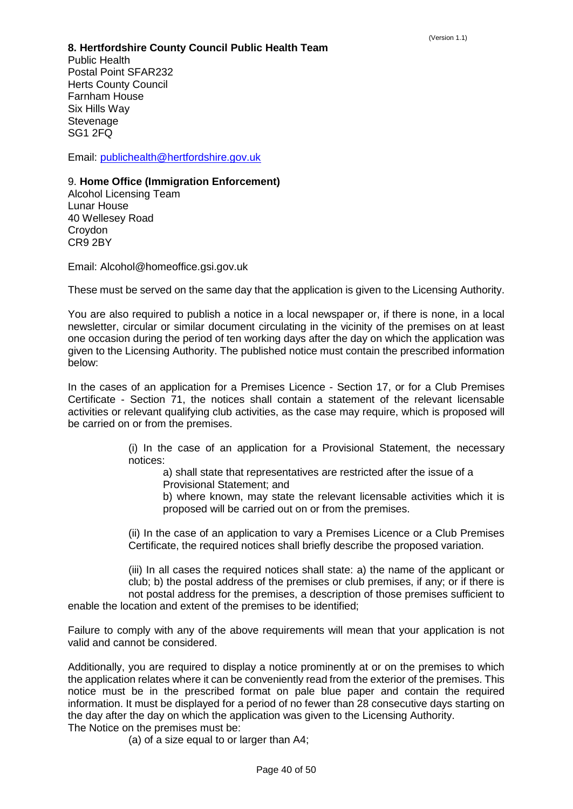#### **8. Hertfordshire County Council Public Health Team**

Public Health Postal Point SFAR232 Herts County Council Farnham House Six Hills Way **Stevenage** SG<sub>1</sub> 2FQ

Email: [publichealth@hertfordshire.gov.uk](mailto:publichealth@hertfordshire.gov.uk)

# 9. **Home Office (Immigration Enforcement)**

Alcohol Licensing Team Lunar House 40 Wellesey Road **Croydon** CR9 2BY

Email: Alcohol@homeoffice.gsi.gov.uk

These must be served on the same day that the application is given to the Licensing Authority.

You are also required to publish a notice in a local newspaper or, if there is none, in a local newsletter, circular or similar document circulating in the vicinity of the premises on at least one occasion during the period of ten working days after the day on which the application was given to the Licensing Authority. The published notice must contain the prescribed information below:

In the cases of an application for a Premises Licence - Section 17, or for a Club Premises Certificate - Section 71, the notices shall contain a statement of the relevant licensable activities or relevant qualifying club activities, as the case may require, which is proposed will be carried on or from the premises.

> (i) In the case of an application for a Provisional Statement, the necessary notices:

a) shall state that representatives are restricted after the issue of a Provisional Statement; and

b) where known, may state the relevant licensable activities which it is proposed will be carried out on or from the premises.

(ii) In the case of an application to vary a Premises Licence or a Club Premises Certificate, the required notices shall briefly describe the proposed variation.

(iii) In all cases the required notices shall state: a) the name of the applicant or club; b) the postal address of the premises or club premises, if any; or if there is not postal address for the premises, a description of those premises sufficient to enable the location and extent of the premises to be identified;

Failure to comply with any of the above requirements will mean that your application is not valid and cannot be considered.

Additionally, you are required to display a notice prominently at or on the premises to which the application relates where it can be conveniently read from the exterior of the premises. This notice must be in the prescribed format on pale blue paper and contain the required information. It must be displayed for a period of no fewer than 28 consecutive days starting on the day after the day on which the application was given to the Licensing Authority. The Notice on the premises must be:

(a) of a size equal to or larger than A4;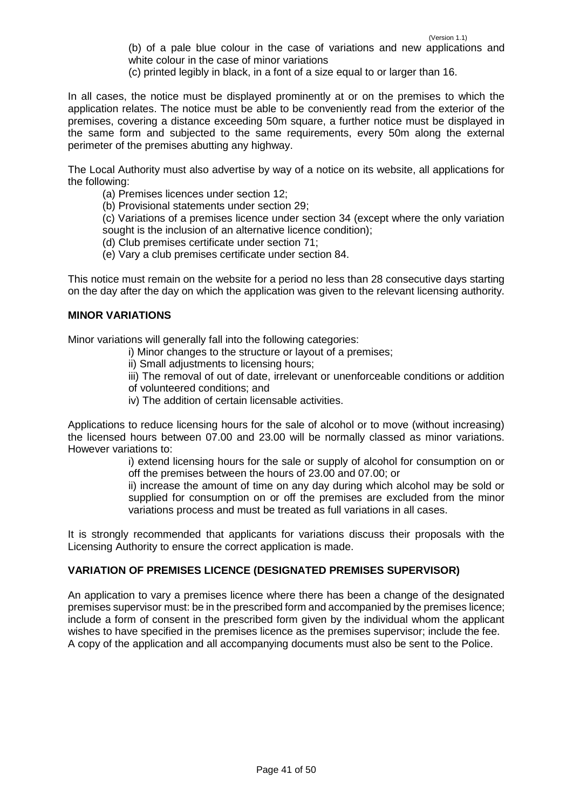(b) of a pale blue colour in the case of variations and new applications and white colour in the case of minor variations

(c) printed legibly in black, in a font of a size equal to or larger than 16.

In all cases, the notice must be displayed prominently at or on the premises to which the application relates. The notice must be able to be conveniently read from the exterior of the premises, covering a distance exceeding 50m square, a further notice must be displayed in the same form and subjected to the same requirements, every 50m along the external perimeter of the premises abutting any highway.

The Local Authority must also advertise by way of a notice on its website, all applications for the following:

- (a) Premises licences under section 12;
- (b) Provisional statements under section 29;

(c) Variations of a premises licence under section 34 (except where the only variation sought is the inclusion of an alternative licence condition);

- (d) Club premises certificate under section 71;
- (e) Vary a club premises certificate under section 84.

This notice must remain on the website for a period no less than 28 consecutive days starting on the day after the day on which the application was given to the relevant licensing authority.

### **MINOR VARIATIONS**

Minor variations will generally fall into the following categories:

- i) Minor changes to the structure or layout of a premises;
- ii) Small adjustments to licensing hours:
- iii) The removal of out of date, irrelevant or unenforceable conditions or addition
- of volunteered conditions; and
- iv) The addition of certain licensable activities.

Applications to reduce licensing hours for the sale of alcohol or to move (without increasing) the licensed hours between 07.00 and 23.00 will be normally classed as minor variations. However variations to:

i) extend licensing hours for the sale or supply of alcohol for consumption on or off the premises between the hours of 23.00 and 07.00; or

ii) increase the amount of time on any day during which alcohol may be sold or supplied for consumption on or off the premises are excluded from the minor variations process and must be treated as full variations in all cases.

It is strongly recommended that applicants for variations discuss their proposals with the Licensing Authority to ensure the correct application is made.

#### **VARIATION OF PREMISES LICENCE (DESIGNATED PREMISES SUPERVISOR)**

An application to vary a premises licence where there has been a change of the designated premises supervisor must: be in the prescribed form and accompanied by the premises licence; include a form of consent in the prescribed form given by the individual whom the applicant wishes to have specified in the premises licence as the premises supervisor; include the fee. A copy of the application and all accompanying documents must also be sent to the Police.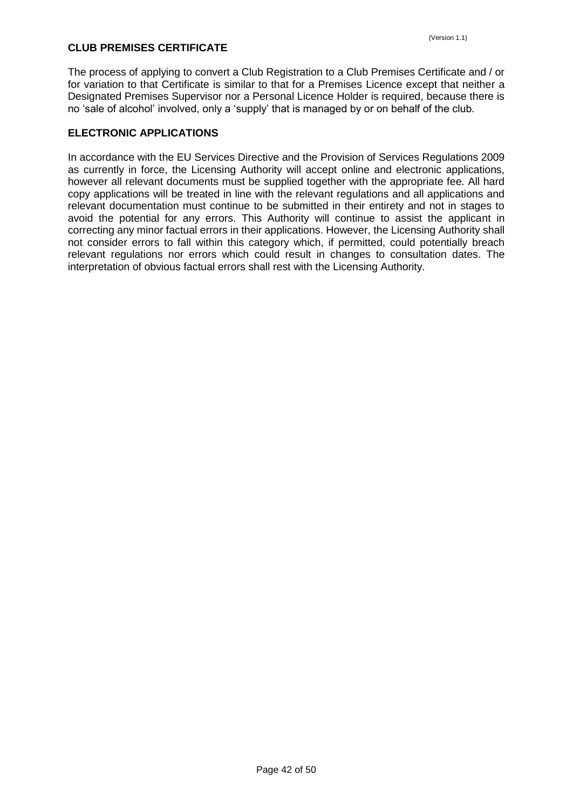# **CLUB PREMISES CERTIFICATE**

The process of applying to convert a Club Registration to a Club Premises Certificate and / or for variation to that Certificate is similar to that for a Premises Licence except that neither a Designated Premises Supervisor nor a Personal Licence Holder is required, because there is no 'sale of alcohol' involved, only a 'supply' that is managed by or on behalf of the club.

## **ELECTRONIC APPLICATIONS**

<span id="page-41-0"></span>In accordance with the EU Services Directive and the Provision of Services Regulations 2009 as currently in force, the Licensing Authority will accept online and electronic applications, however all relevant documents must be supplied together with the appropriate fee. All hard copy applications will be treated in line with the relevant regulations and all applications and relevant documentation must continue to be submitted in their entirety and not in stages to avoid the potential for any errors. This Authority will continue to assist the applicant in correcting any minor factual errors in their applications. However, the Licensing Authority shall not consider errors to fall within this category which, if permitted, could potentially breach relevant regulations nor errors which could result in changes to consultation dates. The interpretation of obvious factual errors shall rest with the Licensing Authority.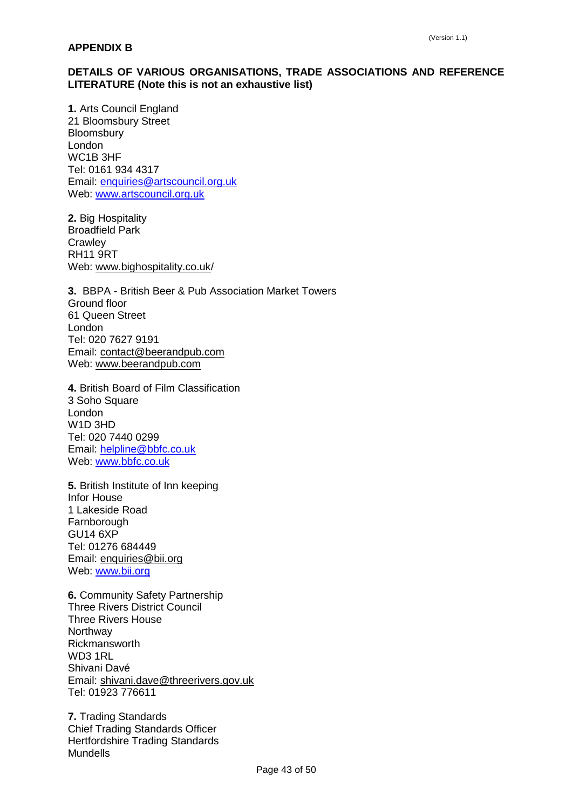# **DETAILS OF VARIOUS ORGANISATIONS, TRADE ASSOCIATIONS AND REFERENCE LITERATURE (Note this is not an exhaustive list)**

**1.** Arts Council England 21 Bloomsbury Street Bloomsbury London WC1B 3HF Tel: 0161 934 4317 Email: [enquiries@artscouncil.org.uk](mailto:enquiries@artscouncil.org.uk) Web: [www.artscouncil.org.uk](http://www.artscouncil.org.uk/)

**2.** Big Hospitality Broadfield Park **Crawley** RH11 9RT Web: www.bighospitality.co.uk/

**3.** BBPA - British Beer & Pub Association Market Towers Ground floor 61 Queen Street London Tel: 020 7627 9191 Email: contact@beerandpub.com Web: www.beerandpub.com

**4.** British Board of Film Classification 3 Soho Square London W1D 3HD Tel: 020 7440 0299 Email: [helpline@bbfc.co.uk](mailto:helpline@bbfc.co.uk) Web: [www.bbfc.co.uk](http://www.bbfc.co.uk/)

**5.** British Institute of Inn keeping Infor House 1 Lakeside Road **Farnborough** GU14 6XP Tel: 01276 684449 Email: enquiries@bii.org Web: [www.bii.org](http://www.bii.org/)

**6.** Community Safety Partnership Three Rivers District Council Three Rivers House Northway Rickmansworth WD3 1RL Shivani Davé Email: shivani.dave@threerivers.gov.uk Tel: 01923 776611

**7.** Trading Standards Chief Trading Standards Officer Hertfordshire Trading Standards Mundells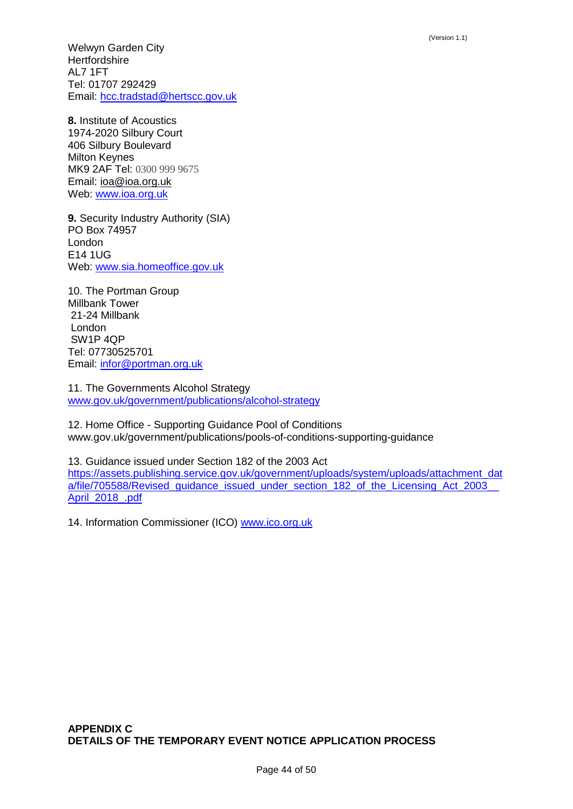Welwyn Garden City **Hertfordshire** AL7 1FT Tel: 01707 292429 Email: [hcc.tradstad@hertscc.gov.uk](mailto:hcc.tradstad@hertscc.gov.uk)

**8.** Institute of Acoustics 1974-2020 Silbury Court 406 Silbury Boulevard Milton Keynes MK9 2AF Tel: 0300 999 9675 Email: ioa@ioa.org.uk Web: [www.ioa.org.uk](http://www.ioa.org.uk/)

**9.** Security Industry Authority (SIA) PO Box 74957 London E14 1UG Web: [www.sia.homeoffice.gov.uk](https://www.sia.homeoffice.gov.uk/Pages/home.aspx)

10. The Portman Group Millbank Tower 21-24 Millbank London SW1P 4QP Tel: 07730525701 Email: [infor@portman.org.uk](mailto:infor@portman.org.uk)

11. The Governments Alcohol Strategy [www.gov.uk/government/publications/alcohol-strategy](https://www.gov.uk/government/publications/alcohol-strategy)

12. Home Office - Supporting Guidance Pool of Conditions www.gov.uk/government/publications/pools-of-conditions-supporting-guidance

13. Guidance issued under Section 182 of the 2003 Act [https://assets.publishing.service.gov.uk/government/uploads/system/uploads/attachment\\_dat](https://assets.publishing.service.gov.uk/government/uploads/system/uploads/attachment_data/file/705588/Revised_guidance_issued_under_section_182_of_the_Licensing_Act_2003__April_2018_.pdf) a/file/705588/Revised\_guidance\_issued\_under\_section\_182\_of\_the\_Licensing\_Act\_2003 [April\\_2018\\_.pdf](https://assets.publishing.service.gov.uk/government/uploads/system/uploads/attachment_data/file/705588/Revised_guidance_issued_under_section_182_of_the_Licensing_Act_2003__April_2018_.pdf)

<span id="page-43-0"></span>14. Information Commissioner (ICO) [www.ico.org.uk](https://ico.org.uk/)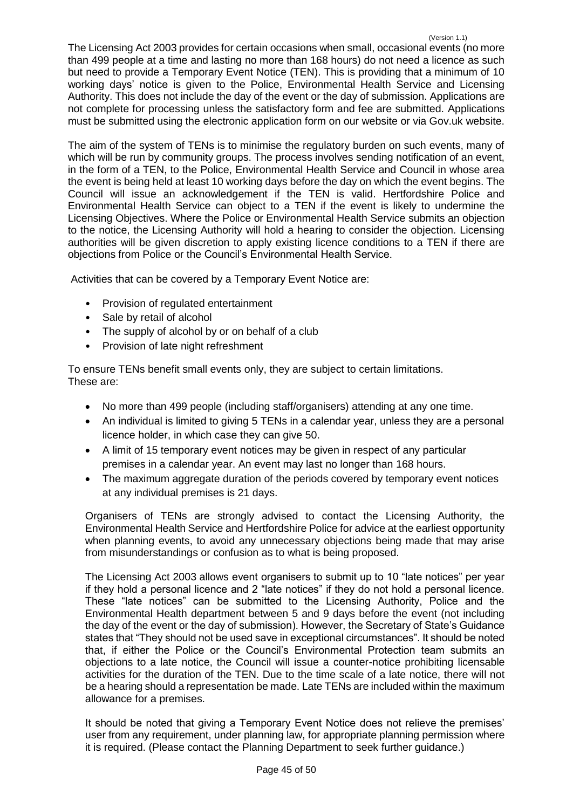The Licensing Act 2003 provides for certain occasions when small, occasional events (no more than 499 people at a time and lasting no more than 168 hours) do not need a licence as such but need to provide a Temporary Event Notice (TEN). This is providing that a minimum of 10 working days' notice is given to the Police, Environmental Health Service and Licensing Authority. This does not include the day of the event or the day of submission. Applications are not complete for processing unless the satisfactory form and fee are submitted. Applications must be submitted using the electronic application form on our website or via Gov.uk website.

The aim of the system of TENs is to minimise the regulatory burden on such events, many of which will be run by community groups. The process involves sending notification of an event, in the form of a TEN, to the Police, Environmental Health Service and Council in whose area the event is being held at least 10 working days before the day on which the event begins. The Council will issue an acknowledgement if the TEN is valid. Hertfordshire Police and Environmental Health Service can object to a TEN if the event is likely to undermine the Licensing Objectives. Where the Police or Environmental Health Service submits an objection to the notice, the Licensing Authority will hold a hearing to consider the objection. Licensing authorities will be given discretion to apply existing licence conditions to a TEN if there are objections from Police or the Council's Environmental Health Service.

Activities that can be covered by a Temporary Event Notice are:

- Provision of regulated entertainment
- Sale by retail of alcohol
- The supply of alcohol by or on behalf of a club
- Provision of late night refreshment

To ensure TENs benefit small events only, they are subject to certain limitations. These are:

- No more than 499 people (including staff/organisers) attending at any one time.
- An individual is limited to giving 5 TENs in a calendar year, unless they are a personal licence holder, in which case they can give 50.
- A limit of 15 temporary event notices may be given in respect of any particular premises in a calendar year. An event may last no longer than 168 hours.
- The maximum aggregate duration of the periods covered by temporary event notices at any individual premises is 21 days.

Organisers of TENs are strongly advised to contact the Licensing Authority, the Environmental Health Service and Hertfordshire Police for advice at the earliest opportunity when planning events, to avoid any unnecessary objections being made that may arise from misunderstandings or confusion as to what is being proposed.

The Licensing Act 2003 allows event organisers to submit up to 10 "late notices" per year if they hold a personal licence and 2 "late notices" if they do not hold a personal licence. These "late notices" can be submitted to the Licensing Authority, Police and the Environmental Health department between 5 and 9 days before the event (not including the day of the event or the day of submission). However, the Secretary of State's Guidance states that "They should not be used save in exceptional circumstances". It should be noted that, if either the Police or the Council's Environmental Protection team submits an objections to a late notice, the Council will issue a counter-notice prohibiting licensable activities for the duration of the TEN. Due to the time scale of a late notice, there will not be a hearing should a representation be made. Late TENs are included within the maximum allowance for a premises.

It should be noted that giving a Temporary Event Notice does not relieve the premises' user from any requirement, under planning law, for appropriate planning permission where it is required. (Please contact the Planning Department to seek further guidance.)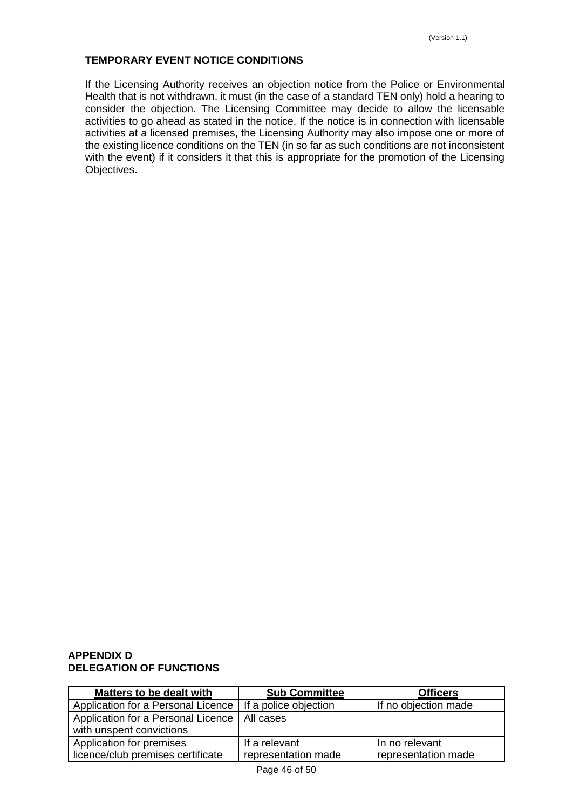# **TEMPORARY EVENT NOTICE CONDITIONS**

If the Licensing Authority receives an objection notice from the Police or Environmental Health that is not withdrawn, it must (in the case of a standard TEN only) hold a hearing to consider the objection. The Licensing Committee may decide to allow the licensable activities to go ahead as stated in the notice. If the notice is in connection with licensable activities at a licensed premises, the Licensing Authority may also impose one or more of the existing licence conditions on the TEN (in so far as such conditions are not inconsistent with the event) if it considers it that this is appropriate for the promotion of the Licensing Objectives.

### <span id="page-45-0"></span>**APPENDIX D DELEGATION OF FUNCTIONS**

| <b>Sub Committee</b>                                       | <b>Officers</b>      |
|------------------------------------------------------------|----------------------|
| Application for a Personal Licence   If a police objection | If no objection made |
| Application for a Personal Licence   All cases             |                      |
|                                                            |                      |
| If a relevant                                              | In no relevant       |
| representation made                                        | representation made  |
|                                                            |                      |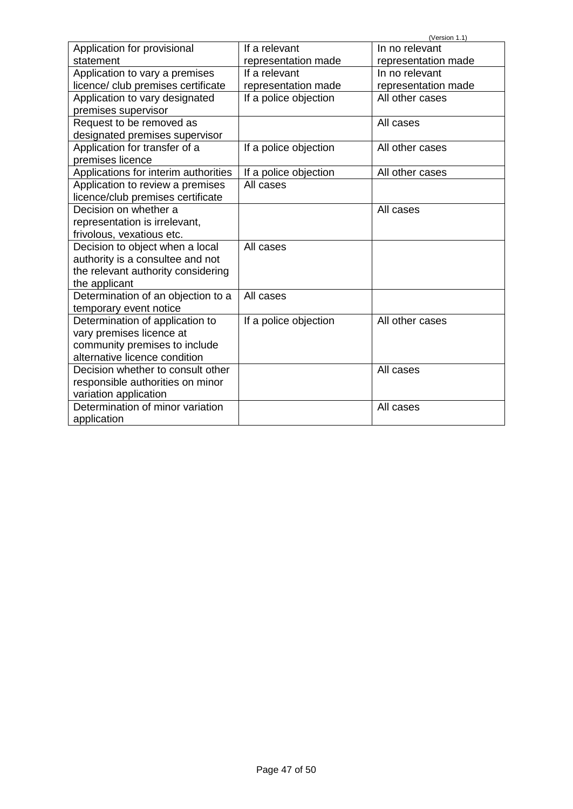|                                      |                       | (Version 1.1)       |
|--------------------------------------|-----------------------|---------------------|
| Application for provisional          | If a relevant         | In no relevant      |
| statement                            | representation made   | representation made |
| Application to vary a premises       | If a relevant         | In no relevant      |
| licence/ club premises certificate   | representation made   | representation made |
| Application to vary designated       | If a police objection | All other cases     |
| premises supervisor                  |                       |                     |
| Request to be removed as             |                       | All cases           |
| designated premises supervisor       |                       |                     |
| Application for transfer of a        | If a police objection | All other cases     |
| premises licence                     |                       |                     |
| Applications for interim authorities | If a police objection | All other cases     |
| Application to review a premises     | All cases             |                     |
| licence/club premises certificate    |                       |                     |
| Decision on whether a                |                       | All cases           |
| representation is irrelevant,        |                       |                     |
| frivolous, vexatious etc.            |                       |                     |
| Decision to object when a local      | All cases             |                     |
| authority is a consultee and not     |                       |                     |
| the relevant authority considering   |                       |                     |
| the applicant                        |                       |                     |
| Determination of an objection to a   | All cases             |                     |
| temporary event notice               |                       |                     |
| Determination of application to      | If a police objection | All other cases     |
| vary premises licence at             |                       |                     |
| community premises to include        |                       |                     |
| alternative licence condition        |                       |                     |
| Decision whether to consult other    |                       | All cases           |
| responsible authorities on minor     |                       |                     |
| variation application                |                       |                     |
| Determination of minor variation     |                       | All cases           |
| application                          |                       |                     |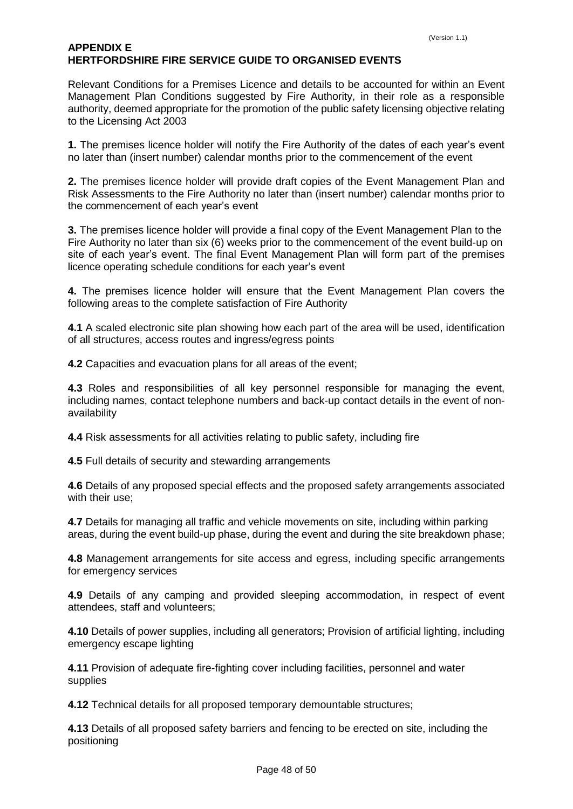# <span id="page-47-0"></span>**APPENDIX E HERTFORDSHIRE FIRE SERVICE GUIDE TO ORGANISED EVENTS**

Relevant Conditions for a Premises Licence and details to be accounted for within an Event Management Plan Conditions suggested by Fire Authority, in their role as a responsible authority, deemed appropriate for the promotion of the public safety licensing objective relating to the Licensing Act 2003

**1.** The premises licence holder will notify the Fire Authority of the dates of each year's event no later than (insert number) calendar months prior to the commencement of the event

**2.** The premises licence holder will provide draft copies of the Event Management Plan and Risk Assessments to the Fire Authority no later than (insert number) calendar months prior to the commencement of each year's event

**3.** The premises licence holder will provide a final copy of the Event Management Plan to the Fire Authority no later than six (6) weeks prior to the commencement of the event build-up on site of each year's event. The final Event Management Plan will form part of the premises licence operating schedule conditions for each year's event

**4.** The premises licence holder will ensure that the Event Management Plan covers the following areas to the complete satisfaction of Fire Authority

**4.1** A scaled electronic site plan showing how each part of the area will be used, identification of all structures, access routes and ingress/egress points

**4.2** Capacities and evacuation plans for all areas of the event;

**4.3** Roles and responsibilities of all key personnel responsible for managing the event, including names, contact telephone numbers and back-up contact details in the event of nonavailability

**4.4** Risk assessments for all activities relating to public safety, including fire

**4.5** Full details of security and stewarding arrangements

**4.6** Details of any proposed special effects and the proposed safety arrangements associated with their use;

**4.7** Details for managing all traffic and vehicle movements on site, including within parking areas, during the event build-up phase, during the event and during the site breakdown phase;

**4.8** Management arrangements for site access and egress, including specific arrangements for emergency services

**4.9** Details of any camping and provided sleeping accommodation, in respect of event attendees, staff and volunteers;

**4.10** Details of power supplies, including all generators; Provision of artificial lighting, including emergency escape lighting

**4.11** Provision of adequate fire-fighting cover including facilities, personnel and water supplies

**4.12** Technical details for all proposed temporary demountable structures;

**4.13** Details of all proposed safety barriers and fencing to be erected on site, including the positioning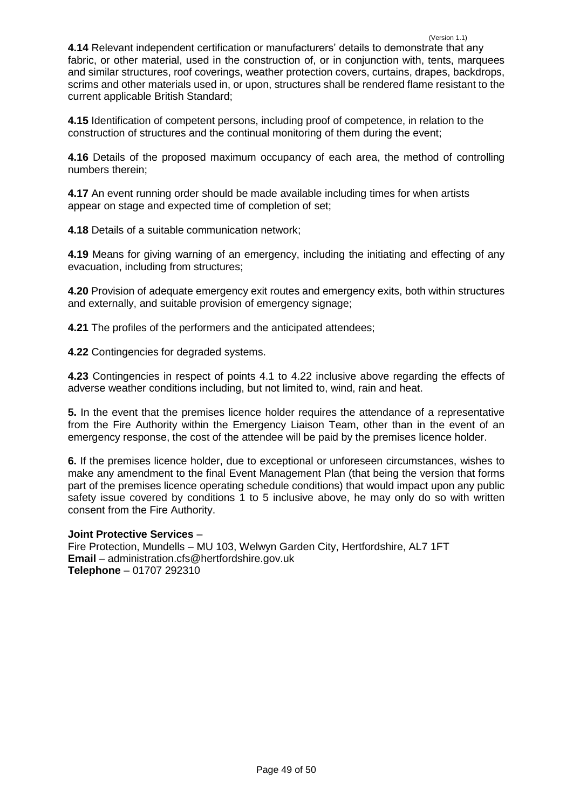(Version 1.1) **4.14** Relevant independent certification or manufacturers' details to demonstrate that any fabric, or other material, used in the construction of, or in conjunction with, tents, marquees and similar structures, roof coverings, weather protection covers, curtains, drapes, backdrops, scrims and other materials used in, or upon, structures shall be rendered flame resistant to the current applicable British Standard;

**4.15** Identification of competent persons, including proof of competence, in relation to the construction of structures and the continual monitoring of them during the event;

**4.16** Details of the proposed maximum occupancy of each area, the method of controlling numbers therein;

**4.17** An event running order should be made available including times for when artists appear on stage and expected time of completion of set;

**4.18** Details of a suitable communication network;

**4.19** Means for giving warning of an emergency, including the initiating and effecting of any evacuation, including from structures;

**4.20** Provision of adequate emergency exit routes and emergency exits, both within structures and externally, and suitable provision of emergency signage;

**4.21** The profiles of the performers and the anticipated attendees;

**4.22** Contingencies for degraded systems.

**4.23** Contingencies in respect of points 4.1 to 4.22 inclusive above regarding the effects of adverse weather conditions including, but not limited to, wind, rain and heat.

**5.** In the event that the premises licence holder requires the attendance of a representative from the Fire Authority within the Emergency Liaison Team, other than in the event of an emergency response, the cost of the attendee will be paid by the premises licence holder.

**6.** If the premises licence holder, due to exceptional or unforeseen circumstances, wishes to make any amendment to the final Event Management Plan (that being the version that forms part of the premises licence operating schedule conditions) that would impact upon any public safety issue covered by conditions 1 to 5 inclusive above, he may only do so with written consent from the Fire Authority.

#### **Joint Protective Services** –

<span id="page-48-0"></span>Fire Protection, Mundells – MU 103, Welwyn Garden City, Hertfordshire, AL7 1FT **Email** – administration.cfs@hertfordshire.gov.uk **Telephone** – 01707 292310